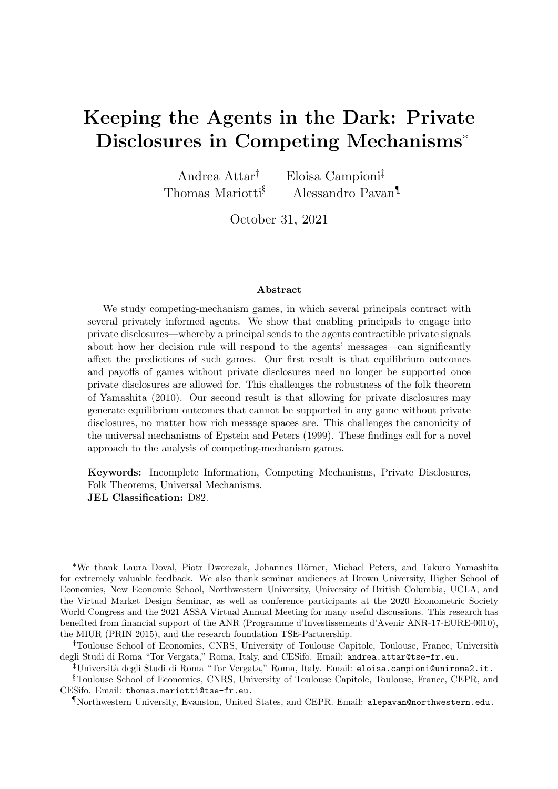# Keeping the Agents in the Dark: Private Disclosures in Competing Mechanisms\*

Andrea Attar<sup>†</sup> Eloisa Campioni<sup>‡</sup> Thomas Mariotti§ Alessandro Pavan¶

October 31, 2021

#### Abstract

We study competing-mechanism games, in which several principals contract with several privately informed agents. We show that enabling principals to engage into private disclosures—whereby a principal sends to the agents contractible private signals about how her decision rule will respond to the agents' messages—can significantly affect the predictions of such games. Our first result is that equilibrium outcomes and payoffs of games without private disclosures need no longer be supported once private disclosures are allowed for. This challenges the robustness of the folk theorem of Yamashita (2010). Our second result is that allowing for private disclosures may generate equilibrium outcomes that cannot be supported in any game without private disclosures, no matter how rich message spaces are. This challenges the canonicity of the universal mechanisms of Epstein and Peters (1999). These findings call for a novel approach to the analysis of competing-mechanism games.

Keywords: Incomplete Information, Competing Mechanisms, Private Disclosures, Folk Theorems, Universal Mechanisms. JEL Classification: D82.

<sup>\*</sup>We thank Laura Doval, Piotr Dworczak, Johannes Hörner, Michael Peters, and Takuro Yamashita for extremely valuable feedback. We also thank seminar audiences at Brown University, Higher School of Economics, New Economic School, Northwestern University, University of British Columbia, UCLA, and the Virtual Market Design Seminar, as well as conference participants at the 2020 Econometric Society World Congress and the 2021 ASSA Virtual Annual Meeting for many useful discussions. This research has benefited from financial support of the ANR (Programme d'Investissements d'Avenir ANR-17-EURE-0010), the MIUR (PRIN 2015), and the research foundation TSE-Partnership.

<sup>&</sup>lt;sup>†</sup>Toulouse School of Economics, CNRS, University of Toulouse Capitole, Toulouse, France, Università degli Studi di Roma "Tor Vergata," Roma, Italy, and CESifo. Email: andrea.attar@tse-fr.eu.

Universit`a degli Studi di Roma "Tor Vergata," Roma, Italy. Email: eloisa.campioni@uniroma2.it.

<sup>§</sup>Toulouse School of Economics, CNRS, University of Toulouse Capitole, Toulouse, France, CEPR, and CESifo. Email: thomas.mariotti@tse-fr.eu.

<sup>¶</sup>Northwestern University, Evanston, United States, and CEPR. Email: alepavan@northwestern.edu.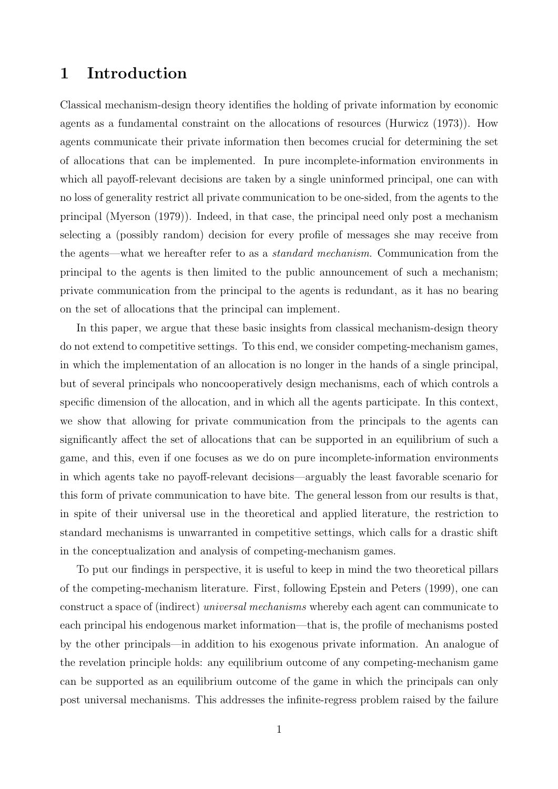# 1 Introduction

Classical mechanism-design theory identifies the holding of private information by economic agents as a fundamental constraint on the allocations of resources (Hurwicz (1973)). How agents communicate their private information then becomes crucial for determining the set of allocations that can be implemented. In pure incomplete-information environments in which all payoff-relevant decisions are taken by a single uninformed principal, one can with no loss of generality restrict all private communication to be one-sided, from the agents to the principal (Myerson (1979)). Indeed, in that case, the principal need only post a mechanism selecting a (possibly random) decision for every profile of messages she may receive from the agents—what we hereafter refer to as a standard mechanism. Communication from the principal to the agents is then limited to the public announcement of such a mechanism; private communication from the principal to the agents is redundant, as it has no bearing on the set of allocations that the principal can implement.

In this paper, we argue that these basic insights from classical mechanism-design theory do not extend to competitive settings. To this end, we consider competing-mechanism games, in which the implementation of an allocation is no longer in the hands of a single principal, but of several principals who noncooperatively design mechanisms, each of which controls a specific dimension of the allocation, and in which all the agents participate. In this context, we show that allowing for private communication from the principals to the agents can significantly affect the set of allocations that can be supported in an equilibrium of such a game, and this, even if one focuses as we do on pure incomplete-information environments in which agents take no payoff-relevant decisions—arguably the least favorable scenario for this form of private communication to have bite. The general lesson from our results is that, in spite of their universal use in the theoretical and applied literature, the restriction to standard mechanisms is unwarranted in competitive settings, which calls for a drastic shift in the conceptualization and analysis of competing-mechanism games.

To put our findings in perspective, it is useful to keep in mind the two theoretical pillars of the competing-mechanism literature. First, following Epstein and Peters (1999), one can construct a space of (indirect) universal mechanisms whereby each agent can communicate to each principal his endogenous market information—that is, the profile of mechanisms posted by the other principals—in addition to his exogenous private information. An analogue of the revelation principle holds: any equilibrium outcome of any competing-mechanism game can be supported as an equilibrium outcome of the game in which the principals can only post universal mechanisms. This addresses the infinite-regress problem raised by the failure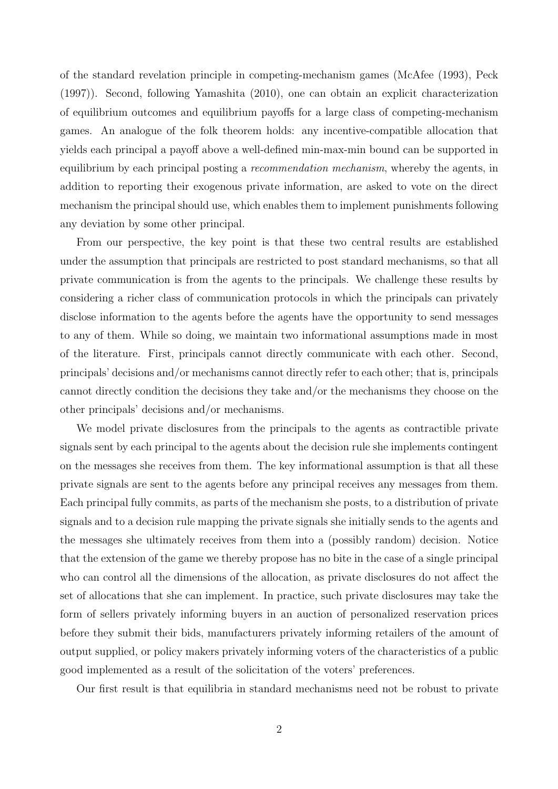of the standard revelation principle in competing-mechanism games (McAfee (1993), Peck (1997)). Second, following Yamashita (2010), one can obtain an explicit characterization of equilibrium outcomes and equilibrium payoffs for a large class of competing-mechanism games. An analogue of the folk theorem holds: any incentive-compatible allocation that yields each principal a payoff above a well-defined min-max-min bound can be supported in equilibrium by each principal posting a *recommendation mechanism*, whereby the agents, in addition to reporting their exogenous private information, are asked to vote on the direct mechanism the principal should use, which enables them to implement punishments following any deviation by some other principal.

From our perspective, the key point is that these two central results are established under the assumption that principals are restricted to post standard mechanisms, so that all private communication is from the agents to the principals. We challenge these results by considering a richer class of communication protocols in which the principals can privately disclose information to the agents before the agents have the opportunity to send messages to any of them. While so doing, we maintain two informational assumptions made in most of the literature. First, principals cannot directly communicate with each other. Second, principals' decisions and/or mechanisms cannot directly refer to each other; that is, principals cannot directly condition the decisions they take and/or the mechanisms they choose on the other principals' decisions and/or mechanisms.

We model private disclosures from the principals to the agents as contractible private signals sent by each principal to the agents about the decision rule she implements contingent on the messages she receives from them. The key informational assumption is that all these private signals are sent to the agents before any principal receives any messages from them. Each principal fully commits, as parts of the mechanism she posts, to a distribution of private signals and to a decision rule mapping the private signals she initially sends to the agents and the messages she ultimately receives from them into a (possibly random) decision. Notice that the extension of the game we thereby propose has no bite in the case of a single principal who can control all the dimensions of the allocation, as private disclosures do not affect the set of allocations that she can implement. In practice, such private disclosures may take the form of sellers privately informing buyers in an auction of personalized reservation prices before they submit their bids, manufacturers privately informing retailers of the amount of output supplied, or policy makers privately informing voters of the characteristics of a public good implemented as a result of the solicitation of the voters' preferences.

Our first result is that equilibria in standard mechanisms need not be robust to private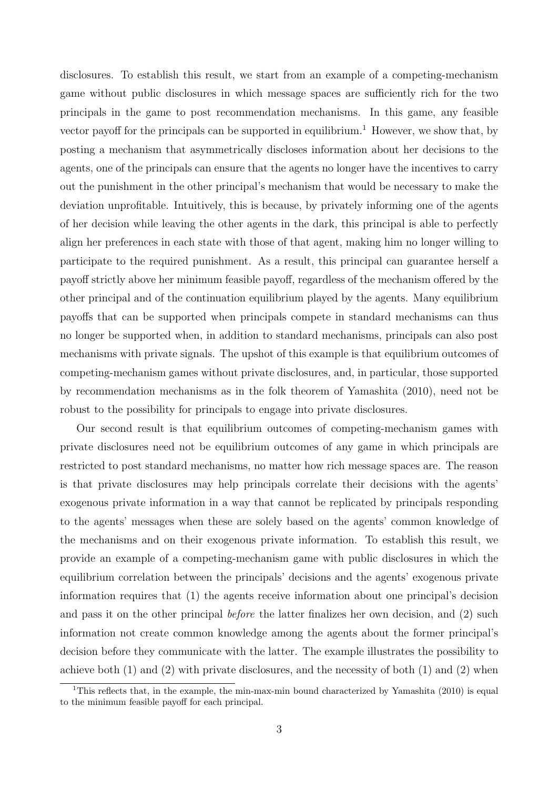disclosures. To establish this result, we start from an example of a competing-mechanism game without public disclosures in which message spaces are sufficiently rich for the two principals in the game to post recommendation mechanisms. In this game, any feasible vector payoff for the principals can be supported in equilibrium.<sup>1</sup> However, we show that, by posting a mechanism that asymmetrically discloses information about her decisions to the agents, one of the principals can ensure that the agents no longer have the incentives to carry out the punishment in the other principal's mechanism that would be necessary to make the deviation unprofitable. Intuitively, this is because, by privately informing one of the agents of her decision while leaving the other agents in the dark, this principal is able to perfectly align her preferences in each state with those of that agent, making him no longer willing to participate to the required punishment. As a result, this principal can guarantee herself a payoff strictly above her minimum feasible payoff, regardless of the mechanism offered by the other principal and of the continuation equilibrium played by the agents. Many equilibrium payoffs that can be supported when principals compete in standard mechanisms can thus no longer be supported when, in addition to standard mechanisms, principals can also post mechanisms with private signals. The upshot of this example is that equilibrium outcomes of competing-mechanism games without private disclosures, and, in particular, those supported by recommendation mechanisms as in the folk theorem of Yamashita (2010), need not be robust to the possibility for principals to engage into private disclosures.

Our second result is that equilibrium outcomes of competing-mechanism games with private disclosures need not be equilibrium outcomes of any game in which principals are restricted to post standard mechanisms, no matter how rich message spaces are. The reason is that private disclosures may help principals correlate their decisions with the agents' exogenous private information in a way that cannot be replicated by principals responding to the agents' messages when these are solely based on the agents' common knowledge of the mechanisms and on their exogenous private information. To establish this result, we provide an example of a competing-mechanism game with public disclosures in which the equilibrium correlation between the principals' decisions and the agents' exogenous private information requires that (1) the agents receive information about one principal's decision and pass it on the other principal before the latter finalizes her own decision, and (2) such information not create common knowledge among the agents about the former principal's decision before they communicate with the latter. The example illustrates the possibility to achieve both (1) and (2) with private disclosures, and the necessity of both (1) and (2) when

<sup>&</sup>lt;sup>1</sup>This reflects that, in the example, the min-max-min bound characterized by Yamashita (2010) is equal to the minimum feasible payoff for each principal.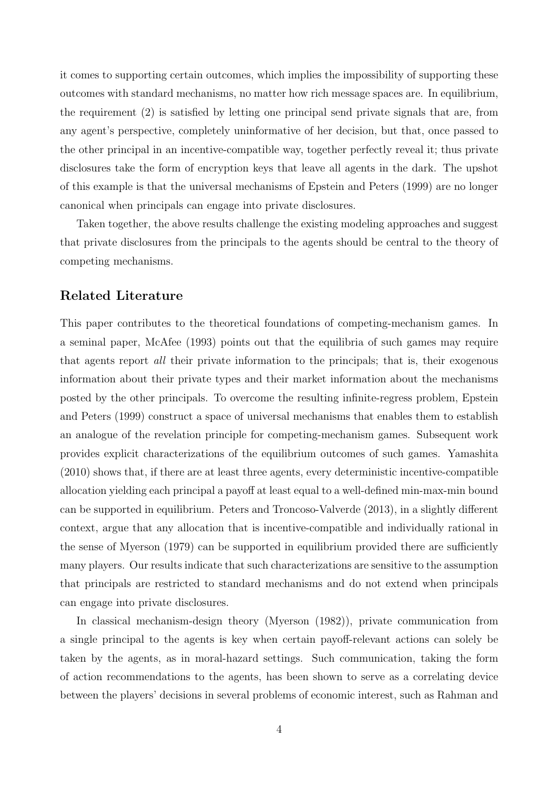it comes to supporting certain outcomes, which implies the impossibility of supporting these outcomes with standard mechanisms, no matter how rich message spaces are. In equilibrium, the requirement (2) is satisfied by letting one principal send private signals that are, from any agent's perspective, completely uninformative of her decision, but that, once passed to the other principal in an incentive-compatible way, together perfectly reveal it; thus private disclosures take the form of encryption keys that leave all agents in the dark. The upshot of this example is that the universal mechanisms of Epstein and Peters (1999) are no longer canonical when principals can engage into private disclosures.

Taken together, the above results challenge the existing modeling approaches and suggest that private disclosures from the principals to the agents should be central to the theory of competing mechanisms.

#### Related Literature

This paper contributes to the theoretical foundations of competing-mechanism games. In a seminal paper, McAfee (1993) points out that the equilibria of such games may require that agents report all their private information to the principals; that is, their exogenous information about their private types and their market information about the mechanisms posted by the other principals. To overcome the resulting infinite-regress problem, Epstein and Peters (1999) construct a space of universal mechanisms that enables them to establish an analogue of the revelation principle for competing-mechanism games. Subsequent work provides explicit characterizations of the equilibrium outcomes of such games. Yamashita (2010) shows that, if there are at least three agents, every deterministic incentive-compatible allocation yielding each principal a payoff at least equal to a well-defined min-max-min bound can be supported in equilibrium. Peters and Troncoso-Valverde (2013), in a slightly different context, argue that any allocation that is incentive-compatible and individually rational in the sense of Myerson (1979) can be supported in equilibrium provided there are sufficiently many players. Our results indicate that such characterizations are sensitive to the assumption that principals are restricted to standard mechanisms and do not extend when principals can engage into private disclosures.

In classical mechanism-design theory (Myerson (1982)), private communication from a single principal to the agents is key when certain payoff-relevant actions can solely be taken by the agents, as in moral-hazard settings. Such communication, taking the form of action recommendations to the agents, has been shown to serve as a correlating device between the players' decisions in several problems of economic interest, such as Rahman and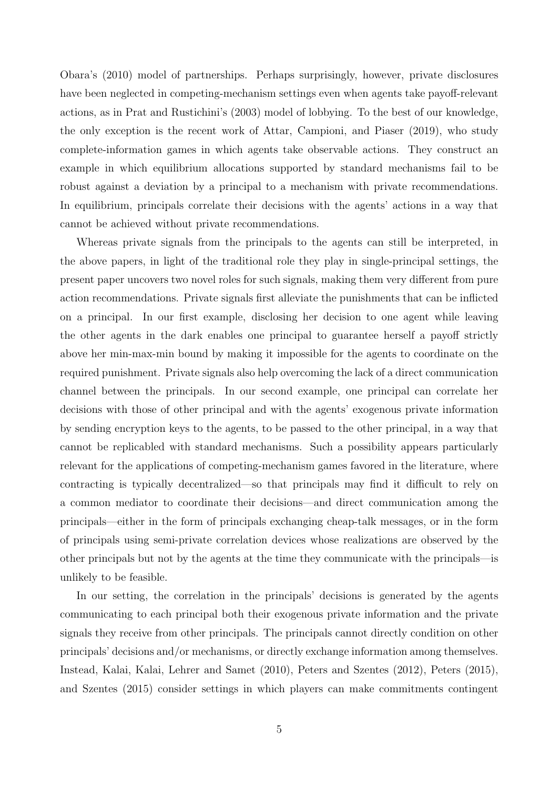Obara's (2010) model of partnerships. Perhaps surprisingly, however, private disclosures have been neglected in competing-mechanism settings even when agents take payoff-relevant actions, as in Prat and Rustichini's (2003) model of lobbying. To the best of our knowledge, the only exception is the recent work of Attar, Campioni, and Piaser (2019), who study complete-information games in which agents take observable actions. They construct an example in which equilibrium allocations supported by standard mechanisms fail to be robust against a deviation by a principal to a mechanism with private recommendations. In equilibrium, principals correlate their decisions with the agents' actions in a way that cannot be achieved without private recommendations.

Whereas private signals from the principals to the agents can still be interpreted, in the above papers, in light of the traditional role they play in single-principal settings, the present paper uncovers two novel roles for such signals, making them very different from pure action recommendations. Private signals first alleviate the punishments that can be inflicted on a principal. In our first example, disclosing her decision to one agent while leaving the other agents in the dark enables one principal to guarantee herself a payoff strictly above her min-max-min bound by making it impossible for the agents to coordinate on the required punishment. Private signals also help overcoming the lack of a direct communication channel between the principals. In our second example, one principal can correlate her decisions with those of other principal and with the agents' exogenous private information by sending encryption keys to the agents, to be passed to the other principal, in a way that cannot be replicabled with standard mechanisms. Such a possibility appears particularly relevant for the applications of competing-mechanism games favored in the literature, where contracting is typically decentralized—so that principals may find it difficult to rely on a common mediator to coordinate their decisions—and direct communication among the principals—either in the form of principals exchanging cheap-talk messages, or in the form of principals using semi-private correlation devices whose realizations are observed by the other principals but not by the agents at the time they communicate with the principals—is unlikely to be feasible.

In our setting, the correlation in the principals' decisions is generated by the agents communicating to each principal both their exogenous private information and the private signals they receive from other principals. The principals cannot directly condition on other principals' decisions and/or mechanisms, or directly exchange information among themselves. Instead, Kalai, Kalai, Lehrer and Samet (2010), Peters and Szentes (2012), Peters (2015), and Szentes (2015) consider settings in which players can make commitments contingent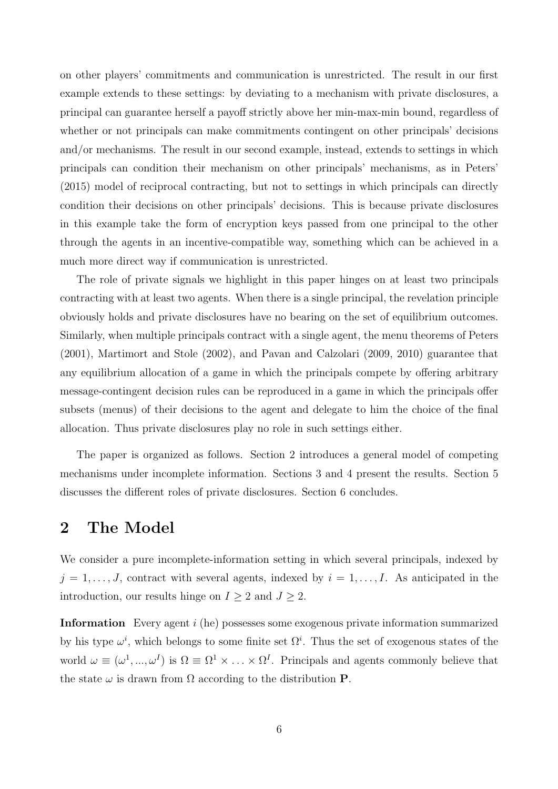on other players' commitments and communication is unrestricted. The result in our first example extends to these settings: by deviating to a mechanism with private disclosures, a principal can guarantee herself a payoff strictly above her min-max-min bound, regardless of whether or not principals can make commitments contingent on other principals' decisions and/or mechanisms. The result in our second example, instead, extends to settings in which principals can condition their mechanism on other principals' mechanisms, as in Peters' (2015) model of reciprocal contracting, but not to settings in which principals can directly condition their decisions on other principals' decisions. This is because private disclosures in this example take the form of encryption keys passed from one principal to the other through the agents in an incentive-compatible way, something which can be achieved in a much more direct way if communication is unrestricted.

The role of private signals we highlight in this paper hinges on at least two principals contracting with at least two agents. When there is a single principal, the revelation principle obviously holds and private disclosures have no bearing on the set of equilibrium outcomes. Similarly, when multiple principals contract with a single agent, the menu theorems of Peters (2001), Martimort and Stole (2002), and Pavan and Calzolari (2009, 2010) guarantee that any equilibrium allocation of a game in which the principals compete by offering arbitrary message-contingent decision rules can be reproduced in a game in which the principals offer subsets (menus) of their decisions to the agent and delegate to him the choice of the final allocation. Thus private disclosures play no role in such settings either.

The paper is organized as follows. Section 2 introduces a general model of competing mechanisms under incomplete information. Sections 3 and 4 present the results. Section 5 discusses the different roles of private disclosures. Section 6 concludes.

## 2 The Model

We consider a pure incomplete-information setting in which several principals, indexed by  $j = 1, \ldots, J$ , contract with several agents, indexed by  $i = 1, \ldots, I$ . As anticipated in the introduction, our results hinge on  $I \geq 2$  and  $J \geq 2$ .

Information Every agent i (he) possesses some exogenous private information summarized by his type  $\omega^i$ , which belongs to some finite set  $\Omega^i$ . Thus the set of exogenous states of the world  $\omega \equiv (\omega^1, ..., \omega^I)$  is  $\Omega \equiv \Omega^1 \times ... \times \Omega^I$ . Principals and agents commonly believe that the state  $\omega$  is drawn from  $\Omega$  according to the distribution **P**.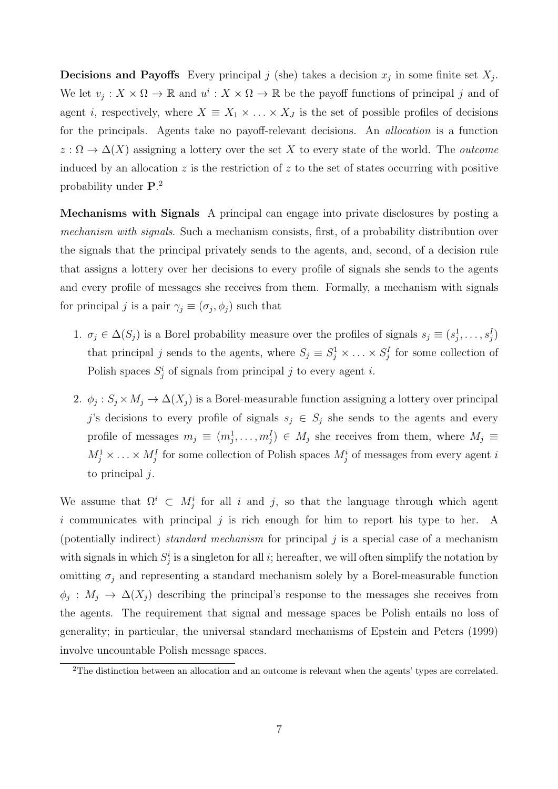**Decisions and Payoffs** Every principal j (she) takes a decision  $x_j$  in some finite set  $X_j$ . We let  $v_j: X \times \Omega \to \mathbb{R}$  and  $u^i: X \times \Omega \to \mathbb{R}$  be the payoff functions of principal j and of agent i, respectively, where  $X \equiv X_1 \times \ldots \times X_J$  is the set of possible profiles of decisions for the principals. Agents take no payoff-relevant decisions. An allocation is a function  $z : \Omega \to \Delta(X)$  assigning a lottery over the set X to every state of the world. The *outcome* induced by an allocation  $z$  is the restriction of  $z$  to the set of states occurring with positive probability under P. 2

Mechanisms with Signals A principal can engage into private disclosures by posting a mechanism with signals. Such a mechanism consists, first, of a probability distribution over the signals that the principal privately sends to the agents, and, second, of a decision rule that assigns a lottery over her decisions to every profile of signals she sends to the agents and every profile of messages she receives from them. Formally, a mechanism with signals for principal j is a pair  $\gamma_j \equiv (\sigma_j, \phi_j)$  such that

- 1.  $\sigma_j \in \Delta(S_j)$  is a Borel probability measure over the profiles of signals  $s_j \equiv (s_j^1, \ldots, s_j^I)$ that principal j sends to the agents, where  $S_j \equiv S_j^1 \times \ldots \times S_j^I$  for some collection of Polish spaces  $S_j^i$  of signals from principal j to every agent i.
- 2.  $\phi_j: S_j \times M_j \to \Delta(X_j)$  is a Borel-measurable function assigning a lottery over principal j's decisions to every profile of signals  $s_j \in S_j$  she sends to the agents and every profile of messages  $m_j \equiv (m_j^1, \ldots, m_j^I) \in M_j$  she receives from them, where  $M_j \equiv$  $M_j^1 \times \ldots \times M_j^I$  for some collection of Polish spaces  $M_j^i$  of messages from every agent i to principal  $j$ .

We assume that  $\Omega^i$   $\subset M^i_j$  for all i and j, so that the language through which agent i communicates with principal j is rich enough for him to report his type to her. A (potentially indirect) standard mechanism for principal  $j$  is a special case of a mechanism with signals in which  $S_j^i$  is a singleton for all i; hereafter, we will often simplify the notation by omitting  $\sigma_j$  and representing a standard mechanism solely by a Borel-measurable function  $\phi_j: M_j \to \Delta(X_j)$  describing the principal's response to the messages she receives from the agents. The requirement that signal and message spaces be Polish entails no loss of generality; in particular, the universal standard mechanisms of Epstein and Peters (1999) involve uncountable Polish message spaces.

<sup>2</sup>The distinction between an allocation and an outcome is relevant when the agents' types are correlated.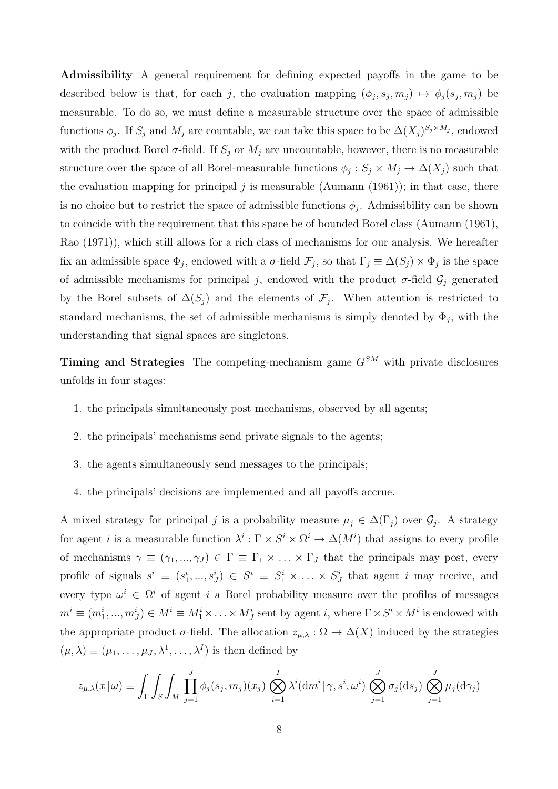Admissibility A general requirement for defining expected payoffs in the game to be described below is that, for each j, the evaluation mapping  $(\phi_j, s_j, m_j) \mapsto \phi_j(s_j, m_j)$  be measurable. To do so, we must define a measurable structure over the space of admissible functions  $\phi_j$ . If  $S_j$  and  $M_j$  are countable, we can take this space to be  $\Delta(X_j)^{S_j \times M_j}$ , endowed with the product Borel  $\sigma$ -field. If  $S_j$  or  $M_j$  are uncountable, however, there is no measurable structure over the space of all Borel-measurable functions  $\phi_j : S_j \times M_j \to \Delta(X_j)$  such that the evaluation mapping for principal j is measurable (Aumann  $(1961)$ ); in that case, there is no choice but to restrict the space of admissible functions  $\phi_j$ . Admissibility can be shown to coincide with the requirement that this space be of bounded Borel class (Aumann (1961), Rao (1971)), which still allows for a rich class of mechanisms for our analysis. We hereafter fix an admissible space  $\Phi_j$ , endowed with a  $\sigma$ -field  $\mathcal{F}_j$ , so that  $\Gamma_j \equiv \Delta(S_j) \times \Phi_j$  is the space of admissible mechanisms for principal j, endowed with the product  $\sigma$ -field  $\mathcal{G}_j$  generated by the Borel subsets of  $\Delta(S_j)$  and the elements of  $\mathcal{F}_j$ . When attention is restricted to standard mechanisms, the set of admissible mechanisms is simply denoted by  $\Phi_j$ , with the understanding that signal spaces are singletons.

Timing and Strategies The competing-mechanism game  $G^{SM}$  with private disclosures unfolds in four stages:

- 1. the principals simultaneously post mechanisms, observed by all agents;
- 2. the principals' mechanisms send private signals to the agents;
- 3. the agents simultaneously send messages to the principals;
- 4. the principals' decisions are implemented and all payoffs accrue.

A mixed strategy for principal j is a probability measure  $\mu_j \in \Delta(\Gamma_j)$  over  $\mathcal{G}_j$ . A strategy for agent *i* is a measurable function  $\lambda^i : \Gamma \times S^i \times \Omega^i \to \Delta(M^i)$  that assigns to every profile of mechanisms  $\gamma \equiv (\gamma_1, ..., \gamma_J) \in \Gamma \equiv \Gamma_1 \times ... \times \Gamma_J$  that the principals may post, every profile of signals  $s^i \equiv (s_1^i, ..., s_J^i) \in S^i \equiv S_1^i \times ... \times S_J^i$  that agent i may receive, and every type  $\omega^i \in \Omega^i$  of agent i a Borel probability measure over the profiles of messages  $m^i \equiv (m_1^i, ..., m_J^i) \in M^i \equiv M_1^i \times ... \times M_J^i$  sent by agent i, where  $\Gamma \times S^i \times M^i$  is endowed with the appropriate product  $\sigma$ -field. The allocation  $z_{\mu,\lambda} : \Omega \to \Delta(X)$  induced by the strategies  $(\mu, \lambda) \equiv (\mu_1, \ldots, \mu_J, \lambda^1, \ldots, \lambda^I)$  is then defined by

$$
z_{\mu,\lambda}(x|\omega) \equiv \int_{\Gamma} \int_{S} \int_{M} \prod_{j=1}^{J} \phi_j(s_j, m_j)(x_j) \bigotimes_{i=1}^{I} \lambda^i(\mathrm{d}m^i | \gamma, s^i, \omega^i) \bigotimes_{j=1}^{J} \sigma_j(\mathrm{d}s_j) \bigotimes_{j=1}^{J} \mu_j(\mathrm{d}\gamma_j)
$$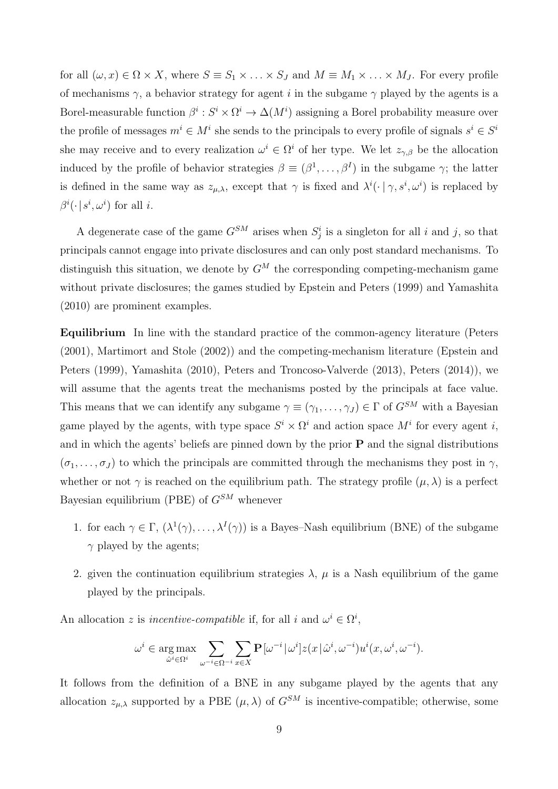for all  $(\omega, x) \in \Omega \times X$ , where  $S \equiv S_1 \times \ldots \times S_J$  and  $M \equiv M_1 \times \ldots \times M_J$ . For every profile of mechanisms  $\gamma$ , a behavior strategy for agent i in the subgame  $\gamma$  played by the agents is a Borel-measurable function  $\beta^i : S^i \times \Omega^i \to \Delta(M^i)$  assigning a Borel probability measure over the profile of messages  $m^i \in M^i$  she sends to the principals to every profile of signals  $s^i \in S^i$ she may receive and to every realization  $\omega^i \in \Omega^i$  of her type. We let  $z_{\gamma,\beta}$  be the allocation induced by the profile of behavior strategies  $\beta \equiv (\beta^1, \ldots, \beta^I)$  in the subgame  $\gamma$ ; the latter is defined in the same way as  $z_{\mu,\lambda}$ , except that  $\gamma$  is fixed and  $\lambda^i(\cdot | \gamma, s^i, \omega^i)$  is replaced by  $\beta^i(\cdot | s^i, \omega^i)$  for all *i*.

A degenerate case of the game  $G^{SM}$  arises when  $S_j^i$  is a singleton for all i and j, so that principals cannot engage into private disclosures and can only post standard mechanisms. To distinguish this situation, we denote by  $G^M$  the corresponding competing-mechanism game without private disclosures; the games studied by Epstein and Peters (1999) and Yamashita (2010) are prominent examples.

Equilibrium In line with the standard practice of the common-agency literature (Peters (2001), Martimort and Stole (2002)) and the competing-mechanism literature (Epstein and Peters (1999), Yamashita (2010), Peters and Troncoso-Valverde (2013), Peters (2014)), we will assume that the agents treat the mechanisms posted by the principals at face value. This means that we can identify any subgame  $\gamma \equiv (\gamma_1, \ldots, \gamma_J) \in \Gamma$  of  $G^{SM}$  with a Bayesian game played by the agents, with type space  $S^i \times \Omega^i$  and action space  $M^i$  for every agent i, and in which the agents' beliefs are pinned down by the prior  $P$  and the signal distributions  $(\sigma_1, \ldots, \sigma_J)$  to which the principals are committed through the mechanisms they post in  $\gamma$ , whether or not  $\gamma$  is reached on the equilibrium path. The strategy profile  $(\mu, \lambda)$  is a perfect Bayesian equilibrium (PBE) of  $G^{SM}$  whenever

- 1. for each  $\gamma \in \Gamma$ ,  $(\lambda^1(\gamma), \ldots, \lambda^I(\gamma))$  is a Bayes-Nash equilibrium (BNE) of the subgame  $\gamma$  played by the agents;
- 2. given the continuation equilibrium strategies  $\lambda$ ,  $\mu$  is a Nash equilibrium of the game played by the principals.

An allocation z is *incentive-compatible* if, for all i and  $\omega^i \in \Omega^i$ ,

$$
\omega^i \in \argmax_{\hat{\omega}^i \in \Omega^i} \sum_{\omega^{-i} \in \Omega^{-i}} \sum_{x \in X} \mathbf{P}[\omega^{-i} | \omega^i] z(x | \hat{\omega}^i, \omega^{-i}) u^i(x, \omega^i, \omega^{-i}).
$$

It follows from the definition of a BNE in any subgame played by the agents that any allocation  $z_{\mu,\lambda}$  supported by a PBE  $(\mu,\lambda)$  of  $G^{SM}$  is incentive-compatible; otherwise, some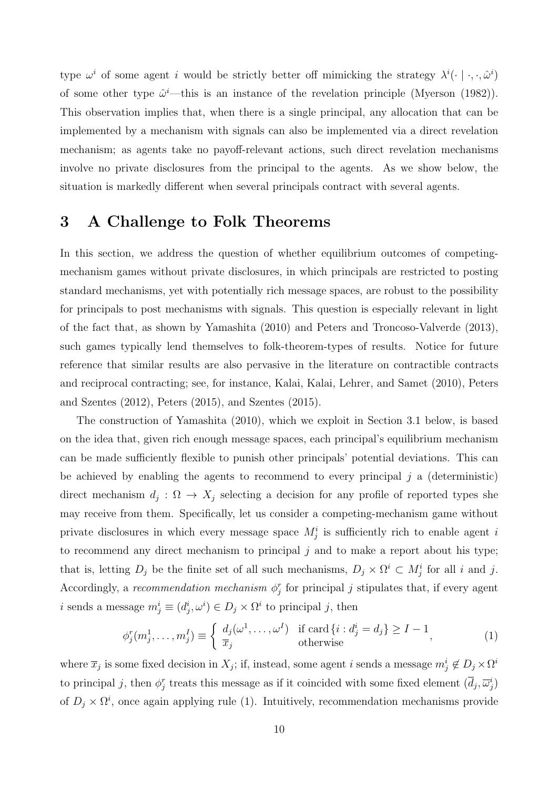type  $\omega^i$  of some agent i would be strictly better off mimicking the strategy  $\lambda^i(\cdot | \cdot, \cdot, \hat{\omega}^i)$ of some other type  $\hat{\omega}^i$ —this is an instance of the revelation principle (Myerson (1982)). This observation implies that, when there is a single principal, any allocation that can be implemented by a mechanism with signals can also be implemented via a direct revelation mechanism; as agents take no payoff-relevant actions, such direct revelation mechanisms involve no private disclosures from the principal to the agents. As we show below, the situation is markedly different when several principals contract with several agents.

# 3 A Challenge to Folk Theorems

In this section, we address the question of whether equilibrium outcomes of competingmechanism games without private disclosures, in which principals are restricted to posting standard mechanisms, yet with potentially rich message spaces, are robust to the possibility for principals to post mechanisms with signals. This question is especially relevant in light of the fact that, as shown by Yamashita (2010) and Peters and Troncoso-Valverde (2013), such games typically lend themselves to folk-theorem-types of results. Notice for future reference that similar results are also pervasive in the literature on contractible contracts and reciprocal contracting; see, for instance, Kalai, Kalai, Lehrer, and Samet (2010), Peters and Szentes (2012), Peters (2015), and Szentes (2015).

The construction of Yamashita (2010), which we exploit in Section 3.1 below, is based on the idea that, given rich enough message spaces, each principal's equilibrium mechanism can be made sufficiently flexible to punish other principals' potential deviations. This can be achieved by enabling the agents to recommend to every principal  $j$  a (deterministic) direct mechanism  $d_j$ :  $\Omega \to X_j$  selecting a decision for any profile of reported types she may receive from them. Specifically, let us consider a competing-mechanism game without private disclosures in which every message space  $M_j^i$  is sufficiently rich to enable agent i to recommend any direct mechanism to principal  $j$  and to make a report about his type; that is, letting  $D_j$  be the finite set of all such mechanisms,  $D_j \times \Omega^i \subset M_j^i$  for all i and j. Accordingly, a recommendation mechanism  $\phi_j^r$  for principal j stipulates that, if every agent i sends a message  $m_j^i \equiv (d_j^i, \omega^i) \in D_j \times \Omega^i$  to principal j, then

$$
\phi_j^r(m_j^1, \dots, m_j^I) \equiv \begin{cases} d_j(\omega^1, \dots, \omega^I) & \text{if } \operatorname{card}\{i : d_j^i = d_j\} \ge I - 1 \\ \overline{x}_j & \text{otherwise} \end{cases}
$$
 (1)

where  $\bar{x}_j$  is some fixed decision in  $X_j$ ; if, instead, some agent i sends a message  $m_j^i \notin D_j \times \Omega^i$ to principal j, then  $\phi_j^r$  treats this message as if it coincided with some fixed element  $(\overline{d}_j, \overline{\omega}_j^i)$ of  $D_j \times \Omega^i$ , once again applying rule (1). Intuitively, recommendation mechanisms provide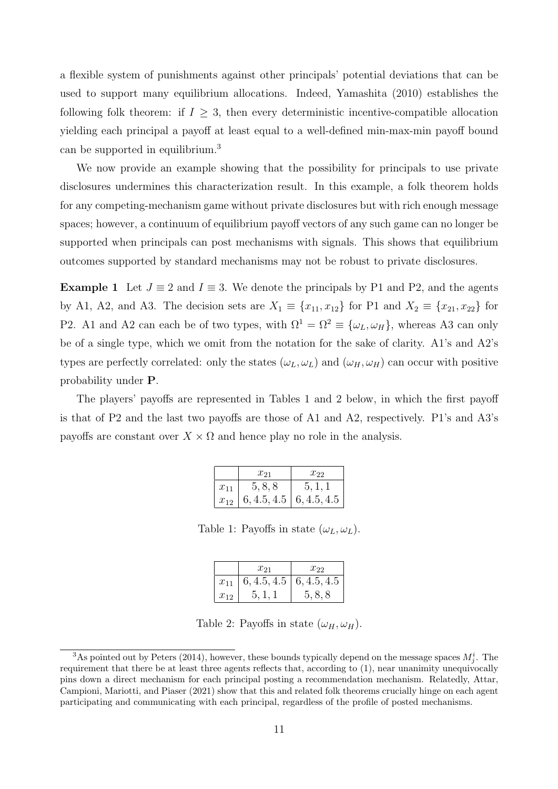a flexible system of punishments against other principals' potential deviations that can be used to support many equilibrium allocations. Indeed, Yamashita (2010) establishes the following folk theorem: if  $I \geq 3$ , then every deterministic incentive-compatible allocation yielding each principal a payoff at least equal to a well-defined min-max-min payoff bound can be supported in equilibrium.<sup>3</sup>

We now provide an example showing that the possibility for principals to use private disclosures undermines this characterization result. In this example, a folk theorem holds for any competing-mechanism game without private disclosures but with rich enough message spaces; however, a continuum of equilibrium payoff vectors of any such game can no longer be supported when principals can post mechanisms with signals. This shows that equilibrium outcomes supported by standard mechanisms may not be robust to private disclosures.

**Example 1** Let  $J \equiv 2$  and  $I \equiv 3$ . We denote the principals by P1 and P2, and the agents by A1, A2, and A3. The decision sets are  $X_1 \equiv \{x_{11}, x_{12}\}$  for P1 and  $X_2 \equiv \{x_{21}, x_{22}\}$  for P2. A1 and A2 can each be of two types, with  $\Omega^1 = \Omega^2 \equiv {\{\omega_L, \omega_H\}}$ , whereas A3 can only be of a single type, which we omit from the notation for the sake of clarity. A1's and A2's types are perfectly correlated: only the states  $(\omega_L, \omega_L)$  and  $(\omega_H, \omega_H)$  can occur with positive probability under P.

The players' payoffs are represented in Tables 1 and 2 below, in which the first payoff is that of P2 and the last two payoffs are those of A1 and A2, respectively. P1's and A3's payoffs are constant over  $X \times \Omega$  and hence play no role in the analysis.

|          | $x_{21}$                       | $x_{22}$ |
|----------|--------------------------------|----------|
| $x_{11}$ | 5, 8, 8                        |          |
| $x_{12}$ | $6, 4.5, 4.5 \mid 6, 4.5, 4.5$ |          |

Table 1: Payoffs in state  $(\omega_L, \omega_L)$ .

|          | $x_{21}$                       | $x_{22}$ |
|----------|--------------------------------|----------|
| $x_{11}$ | $6, 4.5, 4.5 \mid 6, 4.5, 4.5$ |          |
| $x_{12}$ | 5, 1, 1                        | 5, 8, 8  |

Table 2: Payoffs in state  $(\omega_H, \omega_H)$ .

<sup>&</sup>lt;sup>3</sup>As pointed out by Peters (2014), however, these bounds typically depend on the message spaces  $M_j^i$ . The requirement that there be at least three agents reflects that, according to (1), near unanimity unequivocally pins down a direct mechanism for each principal posting a recommendation mechanism. Relatedly, Attar, Campioni, Mariotti, and Piaser (2021) show that this and related folk theorems crucially hinge on each agent participating and communicating with each principal, regardless of the profile of posted mechanisms.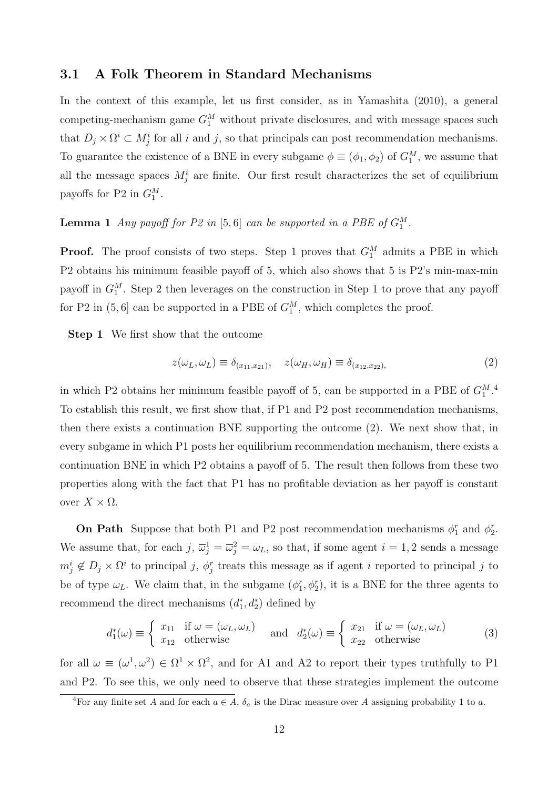#### 3.1 A Folk Theorem in Standard Mechanisms

In the context of this example, let us first consider, as in Yamashita (2010), a general competing-mechanism game  $G_1^M$  without private disclosures, and with message spaces such that  $D_j \times \Omega^i \subset M^i_j$  for all i and j, so that principals can post recommendation mechanisms. To guarantee the existence of a BNE in every subgame  $\phi \equiv (\phi_1, \phi_2)$  of  $G_1^M$ , we assume that all the message spaces  $M_j^i$  are finite. Our first result characterizes the set of equilibrium payoffs for P2 in  $G_1^M$ .

**Lemma 1** Any payoff for P2 in [5,6] can be supported in a PBE of  $G_1^M$ .

**Proof.** The proof consists of two steps. Step 1 proves that  $G_1^M$  admits a PBE in which P2 obtains his minimum feasible payoff of 5, which also shows that 5 is P2's min-max-min payoff in  $G_1^M$ . Step 2 then leverages on the construction in Step 1 to prove that any payoff for P2 in  $(5, 6]$  can be supported in a PBE of  $G_1^M$ , which completes the proof.

Step 1 We first show that the outcome

$$
z(\omega_L, \omega_L) \equiv \delta_{(x_{11}, x_{21})}, \quad z(\omega_H, \omega_H) \equiv \delta_{(x_{12}, x_{22})}, \tag{2}
$$

in which P2 obtains her minimum feasible payoff of 5, can be supported in a PBE of  $G_1^{M}$ .<sup>4</sup> To establish this result, we first show that, if P1 and P2 post recommendation mechanisms, then there exists a continuation BNE supporting the outcome (2). We next show that, in every subgame in which P1 posts her equilibrium recommendation mechanism, there exists a continuation BNE in which P2 obtains a payoff of 5. The result then follows from these two properties along with the fact that P1 has no profitable deviation as her payoff is constant over  $X \times Ω$ .

**On Path** Suppose that both P1 and P2 post recommendation mechanisms  $\phi_1^r$  and  $\phi_2^r$ . We assume that, for each  $j, \overline{\omega}_j^1 = \overline{\omega}_j^2 = \omega_L$ , so that, if some agent  $i = 1, 2$  sends a message  $m_j^i \notin D_j \times \Omega^i$  to principal j,  $\phi_j^r$  treats this message as if agent i reported to principal j to be of type  $\omega_L$ . We claim that, in the subgame  $(\phi_1^r, \phi_2^r)$ , it is a BNE for the three agents to recommend the direct mechanisms  $(d_1^*, d_2^*)$  defined by

$$
d_1^*(\omega) \equiv \begin{cases} x_{11} & \text{if } \omega = (\omega_L, \omega_L) \\ x_{12} & \text{otherwise} \end{cases} \quad \text{and} \quad d_2^*(\omega) \equiv \begin{cases} x_{21} & \text{if } \omega = (\omega_L, \omega_L) \\ x_{22} & \text{otherwise} \end{cases} \tag{3}
$$

for all  $\omega \equiv (\omega^1, \omega^2) \in \Omega^1 \times \Omega^2$ , and for A1 and A2 to report their types truthfully to P1 and P2. To see this, we only need to observe that these strategies implement the outcome

<sup>&</sup>lt;sup>4</sup>For any finite set A and for each  $a \in A$ ,  $\delta_a$  is the Dirac measure over A assigning probability 1 to a.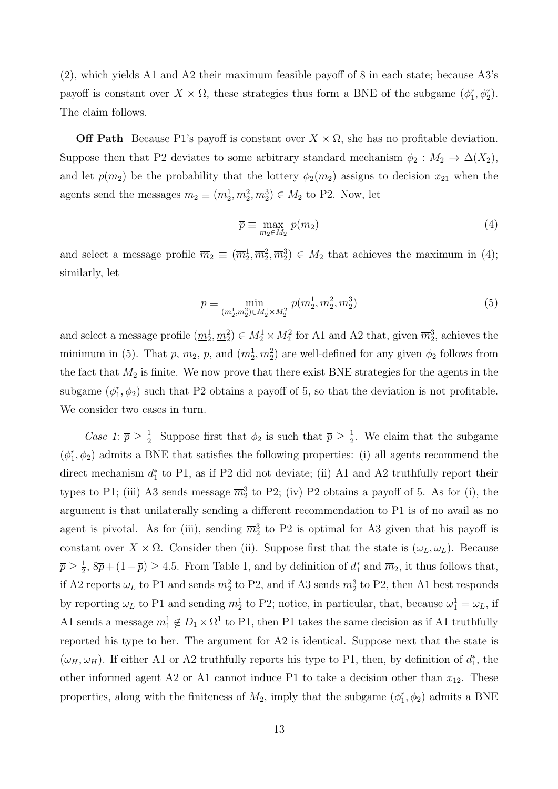(2), which yields A1 and A2 their maximum feasible payoff of 8 in each state; because A3's payoff is constant over  $X \times \Omega$ , these strategies thus form a BNE of the subgame  $(\phi_1^r, \phi_2^r)$ . The claim follows.

**Off Path** Because P1's payoff is constant over  $X \times \Omega$ , she has no profitable deviation. Suppose then that P2 deviates to some arbitrary standard mechanism  $\phi_2 : M_2 \to \Delta(X_2)$ , and let  $p(m_2)$  be the probability that the lottery  $\phi_2(m_2)$  assigns to decision  $x_{21}$  when the agents send the messages  $m_2 \equiv (m_2^1, m_2^2, m_2^3) \in M_2$  to P2. Now, let

$$
\overline{p} \equiv \max_{m_2 \in M_2} p(m_2) \tag{4}
$$

and select a message profile  $\overline{m}_2 \equiv (\overline{m}_2^1, \overline{m}_2^2, \overline{m}_2^3) \in M_2$  that achieves the maximum in (4); similarly, let

$$
\underline{p} \equiv \min_{(m_2^1, m_2^2) \in M_2^1 \times M_2^2} p(m_2^1, m_2^2, \overline{m}_2^3)
$$
 (5)

and select a message profile  $(\underline{m}_2^1, \underline{m}_2^2) \in M_2^1 \times M_2^2$  for A1 and A2 that, given  $\overline{m}_2^3$ , achieves the minimum in (5). That  $\bar{p}$ ,  $\overline{m}_2$ ,  $\underline{p}$ , and  $(\underline{m}_2^1, \underline{m}_2^2)$  are well-defined for any given  $\phi_2$  follows from the fact that  $M_2$  is finite. We now prove that there exist BNE strategies for the agents in the subgame  $(\phi_1^r, \phi_2)$  such that P2 obtains a payoff of 5, so that the deviation is not profitable. We consider two cases in turn.

Case 1:  $\overline{p} \geq \frac{1}{2}$  $\frac{1}{2}$  Suppose first that  $\phi_2$  is such that  $\overline{p} \geq \frac{1}{2}$  $\frac{1}{2}$ . We claim that the subgame  $(\phi_1^r, \phi_2)$  admits a BNE that satisfies the following properties: (i) all agents recommend the direct mechanism  $d_1^*$  to P1, as if P2 did not deviate; (ii) A1 and A2 truthfully report their types to P1; (iii) A3 sends message  $\overline{m}_2^3$  to P2; (iv) P2 obtains a payoff of 5. As for (i), the argument is that unilaterally sending a different recommendation to P1 is of no avail as no agent is pivotal. As for (iii), sending  $\overline{m}_2^3$  to P2 is optimal for A3 given that his payoff is constant over  $X \times \Omega$ . Consider then (ii). Suppose first that the state is  $(\omega_L, \omega_L)$ . Because  $\overline{p}\geq \frac{1}{2}$  $\frac{1}{2}$ ,  $8\overline{p} + (1-\overline{p}) \ge 4.5$ . From Table 1, and by definition of  $d_1^*$  and  $\overline{m}_2$ , it thus follows that, if A2 reports  $\omega_L$  to P1 and sends  $\overline{m}_2^2$  to P2, and if A3 sends  $\overline{m}_2^3$  to P2, then A1 best responds by reporting  $\omega_L$  to P1 and sending  $\overline{m}_2^1$  to P2; notice, in particular, that, because  $\overline{\omega}_1^1 = \omega_L$ , if A1 sends a message  $m_1^1 \notin D_1 \times \Omega^1$  to P1, then P1 takes the same decision as if A1 truthfully reported his type to her. The argument for A2 is identical. Suppose next that the state is  $(\omega_H, \omega_H)$ . If either A1 or A2 truthfully reports his type to P1, then, by definition of  $d_1^*$ , the other informed agent A2 or A1 cannot induce P1 to take a decision other than  $x_{12}$ . These properties, along with the finiteness of  $M_2$ , imply that the subgame  $(\phi_1^r, \phi_2)$  admits a BNE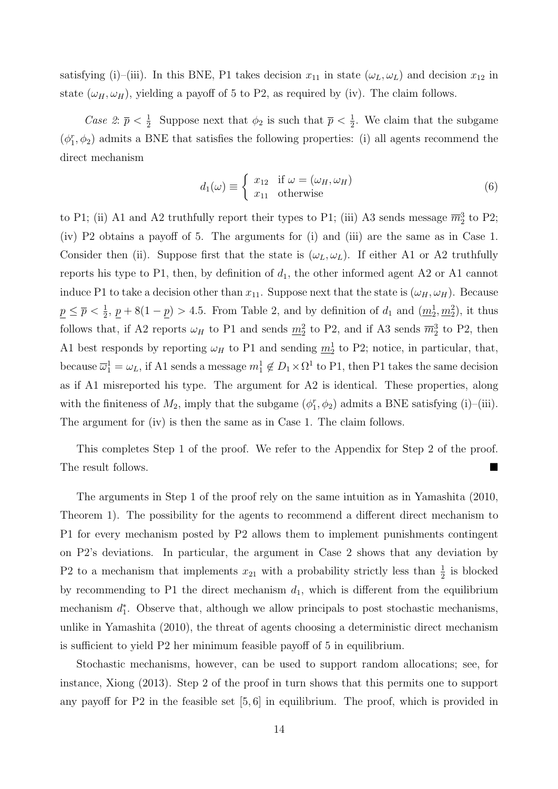satisfying (i)–(iii). In this BNE, P1 takes decision  $x_{11}$  in state  $(\omega_L, \omega_L)$  and decision  $x_{12}$  in state  $(\omega_H, \omega_H)$ , yielding a payoff of 5 to P2, as required by (iv). The claim follows.

Case 2:  $\bar{p} < \frac{1}{2}$  Suppose next that  $\phi_2$  is such that  $\bar{p} < \frac{1}{2}$ . We claim that the subgame  $(\phi_1^r, \phi_2)$  admits a BNE that satisfies the following properties: (i) all agents recommend the direct mechanism

$$
d_1(\omega) \equiv \begin{cases} x_{12} & \text{if } \omega = (\omega_H, \omega_H) \\ x_{11} & \text{otherwise} \end{cases}
$$
 (6)

to P1; (ii) A1 and A2 truthfully report their types to P1; (iii) A3 sends message  $\overline{m}_2^3$  to P2; (iv) P2 obtains a payoff of 5. The arguments for (i) and (iii) are the same as in Case 1. Consider then (ii). Suppose first that the state is  $(\omega_L, \omega_L)$ . If either A1 or A2 truthfully reports his type to P1, then, by definition of  $d_1$ , the other informed agent A2 or A1 cannot induce P1 to take a decision other than  $x_{11}$ . Suppose next that the state is  $(\omega_H, \omega_H)$ . Because  $\underline{p} \leq \overline{p} < \frac{1}{2}, \underline{p} + 8(1 - \underline{p}) > 4.5$ . From Table 2, and by definition of  $d_1$  and  $(\underline{m}_2^1, \underline{m}_2^2)$ , it thus follows that, if A2 reports  $\omega_H$  to P1 and sends  $m_2^2$  to P2, and if A3 sends  $\overline{m}_2^3$  to P2, then A1 best responds by reporting  $\omega_H$  to P1 and sending  $m_2^1$  to P2; notice, in particular, that, because  $\overline{\omega}_1^1 = \omega_L$ , if A1 sends a message  $m_1^1 \notin D_1 \times \Omega^1$  to P1, then P1 takes the same decision as if A1 misreported his type. The argument for A2 is identical. These properties, along with the finiteness of  $M_2$ , imply that the subgame  $(\phi_1^r, \phi_2)$  admits a BNE satisfying (i)–(iii). The argument for (iv) is then the same as in Case 1. The claim follows.

This completes Step 1 of the proof. We refer to the Appendix for Step 2 of the proof. The result follows.

The arguments in Step 1 of the proof rely on the same intuition as in Yamashita (2010, Theorem 1). The possibility for the agents to recommend a different direct mechanism to P1 for every mechanism posted by P2 allows them to implement punishments contingent on P2's deviations. In particular, the argument in Case 2 shows that any deviation by P2 to a mechanism that implements  $x_{21}$  with a probability strictly less than  $\frac{1}{2}$  is blocked by recommending to P1 the direct mechanism  $d_1$ , which is different from the equilibrium mechanism  $d_1^*$ . Observe that, although we allow principals to post stochastic mechanisms, unlike in Yamashita (2010), the threat of agents choosing a deterministic direct mechanism is sufficient to yield P2 her minimum feasible payoff of 5 in equilibrium.

Stochastic mechanisms, however, can be used to support random allocations; see, for instance, Xiong (2013). Step 2 of the proof in turn shows that this permits one to support any payoff for P2 in the feasible set  $[5, 6]$  in equilibrium. The proof, which is provided in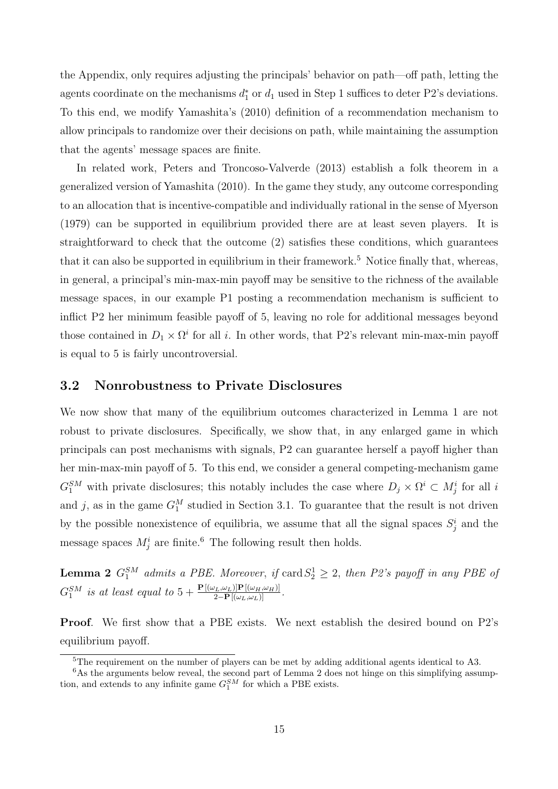the Appendix, only requires adjusting the principals' behavior on path—off path, letting the agents coordinate on the mechanisms  $d_1^*$  or  $d_1$  used in Step 1 suffices to deter P2's deviations. To this end, we modify Yamashita's (2010) definition of a recommendation mechanism to allow principals to randomize over their decisions on path, while maintaining the assumption that the agents' message spaces are finite.

In related work, Peters and Troncoso-Valverde (2013) establish a folk theorem in a generalized version of Yamashita (2010). In the game they study, any outcome corresponding to an allocation that is incentive-compatible and individually rational in the sense of Myerson (1979) can be supported in equilibrium provided there are at least seven players. It is straightforward to check that the outcome (2) satisfies these conditions, which guarantees that it can also be supported in equilibrium in their framework.<sup>5</sup> Notice finally that, whereas, in general, a principal's min-max-min payoff may be sensitive to the richness of the available message spaces, in our example P1 posting a recommendation mechanism is sufficient to inflict P2 her minimum feasible payoff of 5, leaving no role for additional messages beyond those contained in  $D_1 \times \Omega^i$  for all i. In other words, that P2's relevant min-max-min payoff is equal to 5 is fairly uncontroversial.

### 3.2 Nonrobustness to Private Disclosures

We now show that many of the equilibrium outcomes characterized in Lemma 1 are not robust to private disclosures. Specifically, we show that, in any enlarged game in which principals can post mechanisms with signals, P2 can guarantee herself a payoff higher than her min-max-min payoff of 5. To this end, we consider a general competing-mechanism game  $G_1^{SM}$  with private disclosures; this notably includes the case where  $D_j \times \Omega^i \subset M_j^i$  for all i and j, as in the game  $G_1^M$  studied in Section 3.1. To guarantee that the result is not driven by the possible nonexistence of equilibria, we assume that all the signal spaces  $S_j^i$  and the message spaces  $M_j^i$  are finite.<sup>6</sup> The following result then holds.

**Lemma 2**  $G_1^{SM}$  admits a PBE. Moreover, if  $\text{card } S_2^1 \geq 2$ , then P2's payoff in any PBE of  $G_1^{SM}$  is at least equal to  $5 + \frac{\mathbf{P}[(\omega_L, \omega_L)]\mathbf{P}[(\omega_H, \omega_H)]}{2 - \mathbf{P}[(\omega_L, \omega_L)]}$ .

Proof. We first show that a PBE exists. We next establish the desired bound on P2's equilibrium payoff.

<sup>&</sup>lt;sup>5</sup>The requirement on the number of players can be met by adding additional agents identical to A3.

 $6$ As the arguments below reveal, the second part of Lemma 2 does not hinge on this simplifying assumption, and extends to any infinite game  $G_1^{SM}$  for which a PBE exists.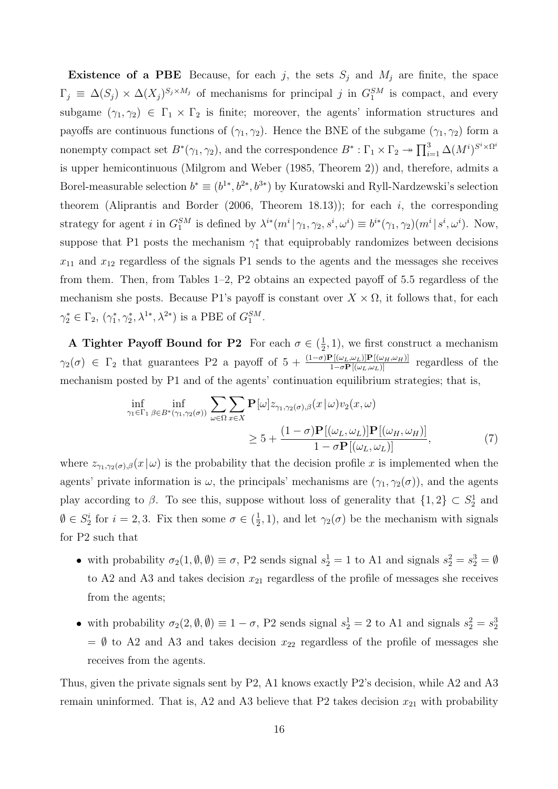**Existence of a PBE** Because, for each j, the sets  $S_i$  and  $M_i$  are finite, the space  $\Gamma_j \equiv \Delta(S_j) \times \Delta(X_j)^{S_j \times M_j}$  of mechanisms for principal j in  $G_1^{SM}$  is compact, and every subgame  $(\gamma_1, \gamma_2) \in \Gamma_1 \times \Gamma_2$  is finite; moreover, the agents' information structures and payoffs are continuous functions of  $(\gamma_1, \gamma_2)$ . Hence the BNE of the subgame  $(\gamma_1, \gamma_2)$  form a nonempty compact set  $B^*(\gamma_1, \gamma_2)$ , and the correspondence  $B^*: \Gamma_1 \times \Gamma_2 \to \prod_{i=1}^3 \Delta(M^i)^{S^i \times \Omega^i}$ is upper hemicontinuous (Milgrom and Weber (1985, Theorem 2)) and, therefore, admits a Borel-measurable selection  $b^* \equiv (b^{1*}, b^{2*}, b^{3*})$  by Kuratowski and Ryll-Nardzewski's selection theorem (Aliprantis and Border  $(2006,$  Theorem 18.13)); for each i, the corresponding strategy for agent *i* in  $G_1^{SM}$  is defined by  $\lambda^{i*}(m^i | \gamma_1, \gamma_2, s^i, \omega^i) \equiv b^{i*}(\gamma_1, \gamma_2)(m^i | s^i, \omega^i)$ . Now, suppose that P1 posts the mechanism  $\gamma_1^*$  that equiprobably randomizes between decisions  $x_{11}$  and  $x_{12}$  regardless of the signals P1 sends to the agents and the messages she receives from them. Then, from Tables 1–2, P2 obtains an expected payoff of 5.5 regardless of the mechanism she posts. Because P1's payoff is constant over  $X \times \Omega$ , it follows that, for each  $\gamma_2^* \in \Gamma_2$ ,  $(\gamma_1^*, \gamma_2^*, \lambda^{1*}, \lambda^{2*})$  is a PBE of  $G_1^{SM}$ .

A Tighter Payoff Bound for P2 For each  $\sigma \in (\frac{1}{2})$  $(\frac{1}{2}, 1)$ , we first construct a mechanism  $\gamma_2(\sigma) \in \Gamma_2$  that guarantees P2 a payoff of  $5 + \frac{(1-\sigma)\mathbf{P}[(\omega_L,\omega_L)]\mathbf{P}[(\omega_H,\omega_H)]}{1-\sigma\mathbf{P}[(\omega_L,\omega_L)]}$  regardless of the mechanism posted by P1 and of the agents' continuation equilibrium strategies; that is,

$$
\inf_{\gamma_1 \in \Gamma_1} \inf_{\beta \in B^*(\gamma_1, \gamma_2(\sigma))} \sum_{\omega \in \Omega} \sum_{x \in X} \mathbf{P}[\omega] z_{\gamma_1, \gamma_2(\sigma), \beta}(x | \omega) v_2(x, \omega) \n\geq 5 + \frac{(1 - \sigma) \mathbf{P}[(\omega_L, \omega_L)] \mathbf{P}[(\omega_H, \omega_H)]}{1 - \sigma \mathbf{P}[(\omega_L, \omega_L)]},
$$
\n(7)

where  $z_{\gamma_1,\gamma_2(\sigma),\beta}(x|\omega)$  is the probability that the decision profile x is implemented when the agents' private information is  $\omega$ , the principals' mechanisms are  $(\gamma_1, \gamma_2(\sigma))$ , and the agents play according to  $\beta$ . To see this, suppose without loss of generality that  $\{1,2\} \subset S_2^1$  and  $\emptyset \in S_2^i$  for  $i = 2, 3$ . Fix then some  $\sigma \in (\frac{1}{2})$  $(\frac{1}{2}, 1)$ , and let  $\gamma_2(\sigma)$  be the mechanism with signals for P2 such that

- with probability  $\sigma_2(1, \emptyset, \emptyset) \equiv \sigma$ , P2 sends signal  $s_2^1 = 1$  to A1 and signals  $s_2^2 = s_2^3 = \emptyset$ to A2 and A3 and takes decision  $x_{21}$  regardless of the profile of messages she receives from the agents;
- with probability  $\sigma_2(2, \emptyset, \emptyset) \equiv 1 \sigma$ , P2 sends signal  $s_2^1 = 2$  to A1 and signals  $s_2^2 = s_2^3$  $= \emptyset$  to A2 and A3 and takes decision  $x_{22}$  regardless of the profile of messages she receives from the agents.

Thus, given the private signals sent by P2, A1 knows exactly P2's decision, while A2 and A3 remain uninformed. That is, A2 and A3 believe that P2 takes decision  $x_{21}$  with probability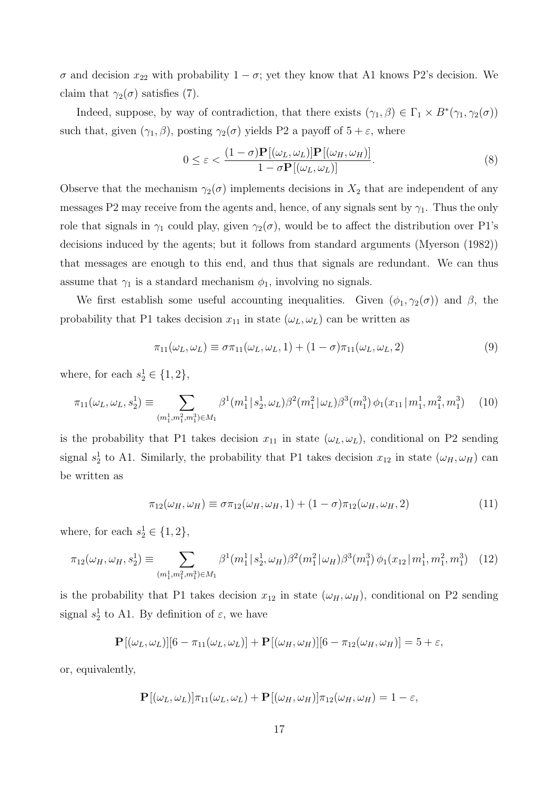$\sigma$  and decision  $x_{22}$  with probability  $1 - \sigma$ ; yet they know that A1 knows P2's decision. We claim that  $\gamma_2(\sigma)$  satisfies (7).

Indeed, suppose, by way of contradiction, that there exists  $(\gamma_1, \beta) \in \Gamma_1 \times B^*(\gamma_1, \gamma_2(\sigma))$ such that, given  $(\gamma_1, \beta)$ , posting  $\gamma_2(\sigma)$  yields P2 a payoff of  $5 + \varepsilon$ , where

$$
0 \le \varepsilon < \frac{(1-\sigma)\mathbf{P}[(\omega_L, \omega_L)]\mathbf{P}[(\omega_H, \omega_H)]}{1-\sigma\mathbf{P}[(\omega_L, \omega_L)]}.
$$
\n(8)

Observe that the mechanism  $\gamma_2(\sigma)$  implements decisions in  $X_2$  that are independent of any messages P2 may receive from the agents and, hence, of any signals sent by  $\gamma_1$ . Thus the only role that signals in  $\gamma_1$  could play, given  $\gamma_2(\sigma)$ , would be to affect the distribution over P1's decisions induced by the agents; but it follows from standard arguments (Myerson (1982)) that messages are enough to this end, and thus that signals are redundant. We can thus assume that  $\gamma_1$  is a standard mechanism  $\phi_1$ , involving no signals.

We first establish some useful accounting inequalities. Given  $(\phi_1, \gamma_2(\sigma))$  and  $\beta$ , the probability that P1 takes decision  $x_{11}$  in state  $(\omega_L, \omega_L)$  can be written as

$$
\pi_{11}(\omega_L, \omega_L) \equiv \sigma \pi_{11}(\omega_L, \omega_L, 1) + (1 - \sigma) \pi_{11}(\omega_L, \omega_L, 2) \tag{9}
$$

where, for each  $s_2^1 \in \{1, 2\}$ ,

$$
\pi_{11}(\omega_L, \omega_L, s_2^1) \equiv \sum_{(m_1^1, m_1^2, m_1^3) \in M_1} \beta^1(m_1^1 \mid s_2^1, \omega_L) \beta^2(m_1^2 \mid \omega_L) \beta^3(m_1^3) \phi_1(x_{11} \mid m_1^1, m_1^2, m_1^3) \tag{10}
$$

is the probability that P1 takes decision  $x_{11}$  in state  $(\omega_L, \omega_L)$ , conditional on P2 sending signal  $s_2^1$  to A1. Similarly, the probability that P1 takes decision  $x_{12}$  in state  $(\omega_H, \omega_H)$  can be written as

$$
\pi_{12}(\omega_H, \omega_H) \equiv \sigma \pi_{12}(\omega_H, \omega_H, 1) + (1 - \sigma) \pi_{12}(\omega_H, \omega_H, 2) \tag{11}
$$

where, for each  $s_2^1 \in \{1, 2\}$ ,

$$
\pi_{12}(\omega_H, \omega_H, s_2^1) \equiv \sum_{(m_1^1, m_1^2, m_1^3) \in M_1} \beta^1(m_1^1 \, | \, s_2^1, \omega_H) \beta^2(m_1^2 \, | \, \omega_H) \beta^3(m_1^3) \, \phi_1(x_{12} \, | \, m_1^1, m_1^2, m_1^3) \tag{12}
$$

is the probability that P1 takes decision  $x_{12}$  in state  $(\omega_H, \omega_H)$ , conditional on P2 sending signal  $s_2^1$  to A1. By definition of  $\varepsilon$ , we have

$$
\mathbf{P}[(\omega_L, \omega_L)][6 - \pi_{11}(\omega_L, \omega_L)] + \mathbf{P}[(\omega_H, \omega_H)][6 - \pi_{12}(\omega_H, \omega_H)] = 5 + \varepsilon,
$$

or, equivalently,

$$
\mathbf{P}[(\omega_L, \omega_L)]\pi_{11}(\omega_L, \omega_L) + \mathbf{P}[(\omega_H, \omega_H)]\pi_{12}(\omega_H, \omega_H) = 1 - \varepsilon,
$$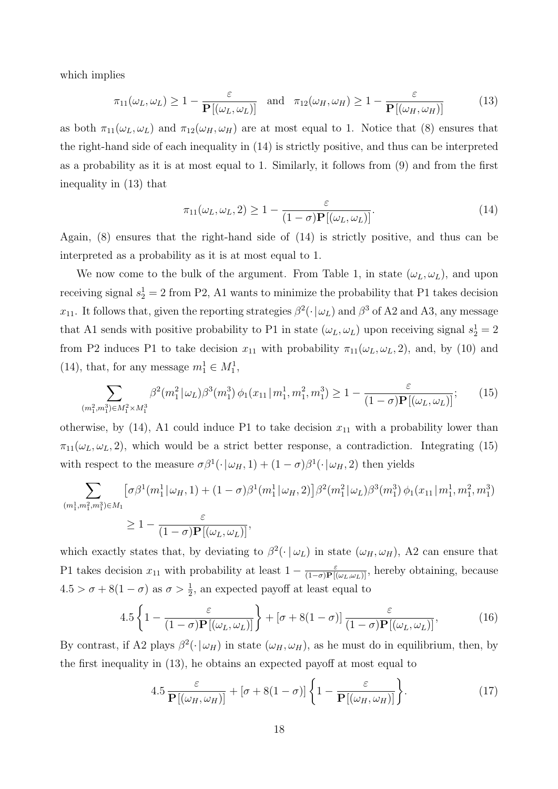which implies

$$
\pi_{11}(\omega_L, \omega_L) \ge 1 - \frac{\varepsilon}{\mathbf{P}[(\omega_L, \omega_L)]} \quad \text{and} \quad \pi_{12}(\omega_H, \omega_H) \ge 1 - \frac{\varepsilon}{\mathbf{P}[(\omega_H, \omega_H)]}
$$
(13)

as both  $\pi_{11}(\omega_L, \omega_L)$  and  $\pi_{12}(\omega_H, \omega_H)$  are at most equal to 1. Notice that (8) ensures that the right-hand side of each inequality in (14) is strictly positive, and thus can be interpreted as a probability as it is at most equal to 1. Similarly, it follows from (9) and from the first inequality in (13) that

$$
\pi_{11}(\omega_L, \omega_L, 2) \ge 1 - \frac{\varepsilon}{(1 - \sigma) \mathbf{P}[(\omega_L, \omega_L)]}.
$$
\n(14)

Again, (8) ensures that the right-hand side of (14) is strictly positive, and thus can be interpreted as a probability as it is at most equal to 1.

We now come to the bulk of the argument. From Table 1, in state  $(\omega_L, \omega_L)$ , and upon receiving signal  $s_2^1 = 2$  from P2, A1 wants to minimize the probability that P1 takes decision  $x_{11}$ . It follows that, given the reporting strategies  $\beta^2(\cdot|\omega_L)$  and  $\beta^3$  of A2 and A3, any message that A1 sends with positive probability to P1 in state  $(\omega_L, \omega_L)$  upon receiving signal  $s_2^1 = 2$ from P2 induces P1 to take decision  $x_{11}$  with probability  $\pi_{11}(\omega_L, \omega_L, 2)$ , and, by (10) and (14), that, for any message  $m_1^1 \in M_1^1$ ,

$$
\sum_{(m_1^2, m_1^3) \in M_1^2 \times M_1^3} \beta^2(m_1^2 | \omega_L) \beta^3(m_1^3) \phi_1(x_{11} | m_1^1, m_1^2, m_1^3) \ge 1 - \frac{\varepsilon}{(1 - \sigma) \mathbf{P}[(\omega_L, \omega_L)]};
$$
(15)

otherwise, by (14), A1 could induce P1 to take decision  $x_{11}$  with a probability lower than  $\pi_{11}(\omega_L, \omega_L, 2)$ , which would be a strict better response, a contradiction. Integrating (15) with respect to the measure  $\sigma\beta^1(\cdot|\omega_H,1) + (1-\sigma)\beta^1(\cdot|\omega_H,2)$  then yields

$$
\sum_{\substack{(m_1^1,m_1^2,m_1^3)\in M_1}} \left[\sigma\beta^1(m_1^1|\omega_H,1)+(1-\sigma)\beta^1(m_1^1|\omega_H,2)\right]\beta^2(m_1^2|\omega_L)\beta^3(m_1^3)\,\phi_1(x_{11}\,|\,m_1^1,m_1^2,m_1^3)
$$
\n
$$
\geq 1 - \frac{\varepsilon}{(1-\sigma)\mathbf{P}[(\omega_L,\omega_L)]},
$$

which exactly states that, by deviating to  $\beta^2(\cdot | \omega_L)$  in state  $(\omega_H, \omega_H)$ , A2 can ensure that P1 takes decision  $x_{11}$  with probability at least  $1 - \frac{\varepsilon}{(1-\sigma)\mathbf{P}[(\omega_L,\omega_L)]}$ , hereby obtaining, because  $4.5 > \sigma + 8(1 - \sigma)$  as  $\sigma > \frac{1}{2}$ , an expected payoff at least equal to

$$
4.5\left\{1-\frac{\varepsilon}{(1-\sigma)\mathbf{P}[(\omega_L,\omega_L)]}\right\} + [\sigma+8(1-\sigma)]\frac{\varepsilon}{(1-\sigma)\mathbf{P}[(\omega_L,\omega_L)]},\tag{16}
$$

By contrast, if A2 plays  $\beta^2(\cdot|\omega_H)$  in state  $(\omega_H, \omega_H)$ , as he must do in equilibrium, then, by the first inequality in (13), he obtains an expected payoff at most equal to

$$
4.5\frac{\varepsilon}{\mathbf{P}[(\omega_H, \omega_H)]} + [\sigma + 8(1 - \sigma)]\left\{1 - \frac{\varepsilon}{\mathbf{P}[(\omega_H, \omega_H)]}\right\}.
$$
 (17)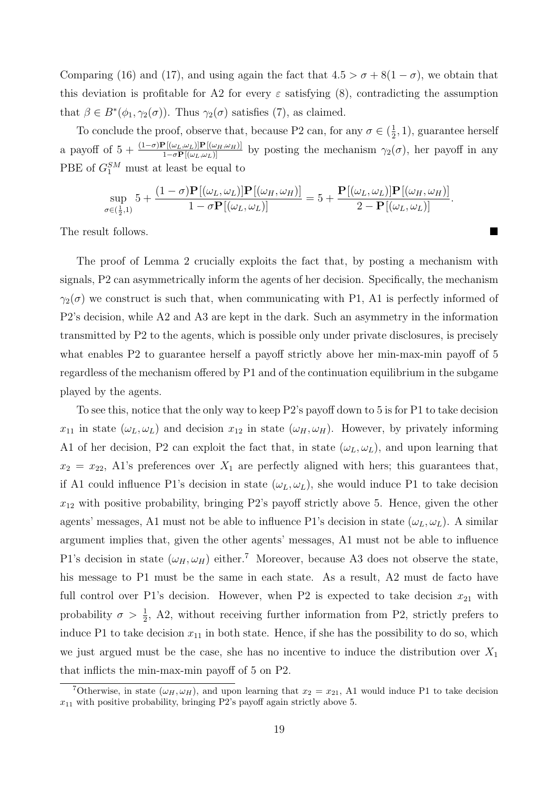Comparing (16) and (17), and using again the fact that  $4.5 > \sigma + 8(1 - \sigma)$ , we obtain that this deviation is profitable for A2 for every  $\varepsilon$  satisfying (8), contradicting the assumption that  $\beta \in B^*(\phi_1, \gamma_2(\sigma))$ . Thus  $\gamma_2(\sigma)$  satisfies (7), as claimed.

To conclude the proof, observe that, because P2 can, for any  $\sigma \in (\frac{1}{2})$  $(\frac{1}{2}, 1)$ , guarantee herself a payoff of  $5 + \frac{(1-\sigma)\mathbf{P}[(\omega_L, \omega_L)]\mathbf{P}[(\omega_H, \omega_H)]}{1-\sigma\mathbf{P}[(\omega_L, \omega_L)]}$  by posting the mechanism  $\gamma_2(\sigma)$ , her payoff in any PBE of  $G_1^{SM}$  must at least be equal to

$$
\sup_{\sigma \in (\frac{1}{2},1)} 5 + \frac{(1-\sigma)\mathbf{P}[(\omega_L, \omega_L)]\mathbf{P}[(\omega_H, \omega_H)]}{1-\sigma\mathbf{P}[(\omega_L, \omega_L)]} = 5 + \frac{\mathbf{P}[(\omega_L, \omega_L)]\mathbf{P}[(\omega_H, \omega_H)]}{2-\mathbf{P}[(\omega_L, \omega_L)]}.
$$

The result follows.

The proof of Lemma 2 crucially exploits the fact that, by posting a mechanism with signals, P2 can asymmetrically inform the agents of her decision. Specifically, the mechanism  $\gamma_2(\sigma)$  we construct is such that, when communicating with P1, A1 is perfectly informed of P2's decision, while A2 and A3 are kept in the dark. Such an asymmetry in the information transmitted by P2 to the agents, which is possible only under private disclosures, is precisely what enables P2 to guarantee herself a payoff strictly above her min-max-min payoff of 5 regardless of the mechanism offered by P1 and of the continuation equilibrium in the subgame played by the agents.

To see this, notice that the only way to keep P2's payoff down to 5 is for P1 to take decision  $x_{11}$  in state  $(\omega_L, \omega_L)$  and decision  $x_{12}$  in state  $(\omega_H, \omega_H)$ . However, by privately informing A1 of her decision, P2 can exploit the fact that, in state  $(\omega_L, \omega_L)$ , and upon learning that  $x_2 = x_{22}$ , A1's preferences over  $X_1$  are perfectly aligned with hers; this guarantees that, if A1 could influence P1's decision in state  $(\omega_L, \omega_L)$ , she would induce P1 to take decision  $x_{12}$  with positive probability, bringing P2's payoff strictly above 5. Hence, given the other agents' messages, A1 must not be able to influence P1's decision in state  $(\omega_L, \omega_L)$ . A similar argument implies that, given the other agents' messages, A1 must not be able to influence P1's decision in state  $(\omega_H, \omega_H)$  either.<sup>7</sup> Moreover, because A3 does not observe the state, his message to P1 must be the same in each state. As a result, A2 must de facto have full control over P1's decision. However, when P2 is expected to take decision  $x_{21}$  with probability  $\sigma > \frac{1}{2}$ , A2, without receiving further information from P2, strictly prefers to induce P1 to take decision  $x_{11}$  in both state. Hence, if she has the possibility to do so, which we just argued must be the case, she has no incentive to induce the distribution over  $X_1$ that inflicts the min-max-min payoff of 5 on P2.

<sup>&</sup>lt;sup>7</sup>Otherwise, in state  $(\omega_H, \omega_H)$ , and upon learning that  $x_2 = x_{21}$ , A1 would induce P1 to take decision  $x_{11}$  with positive probability, bringing P2's payoff again strictly above 5.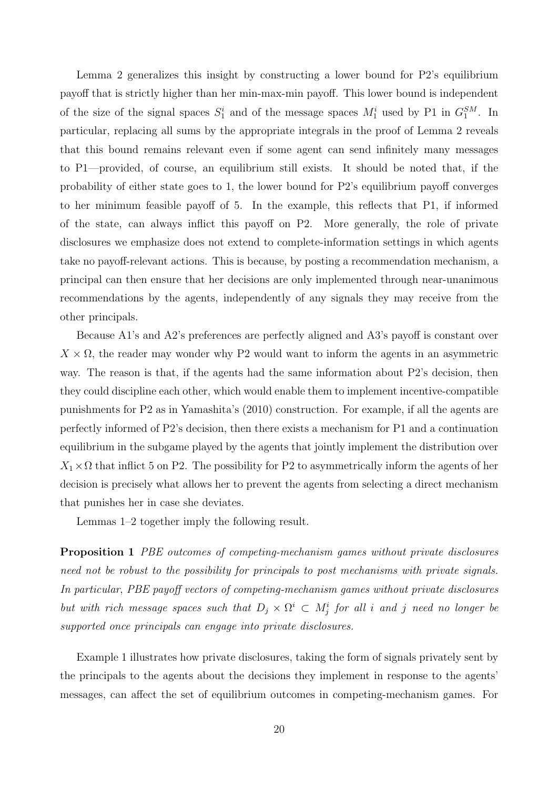Lemma 2 generalizes this insight by constructing a lower bound for P2's equilibrium payoff that is strictly higher than her min-max-min payoff. This lower bound is independent of the size of the signal spaces  $S_1^i$  and of the message spaces  $M_1^i$  used by P1 in  $G_1^{SM}$ . In particular, replacing all sums by the appropriate integrals in the proof of Lemma 2 reveals that this bound remains relevant even if some agent can send infinitely many messages to P1—provided, of course, an equilibrium still exists. It should be noted that, if the probability of either state goes to 1, the lower bound for P2's equilibrium payoff converges to her minimum feasible payoff of 5. In the example, this reflects that P1, if informed of the state, can always inflict this payoff on P2. More generally, the role of private disclosures we emphasize does not extend to complete-information settings in which agents take no payoff-relevant actions. This is because, by posting a recommendation mechanism, a principal can then ensure that her decisions are only implemented through near-unanimous recommendations by the agents, independently of any signals they may receive from the other principals.

Because A1's and A2's preferences are perfectly aligned and A3's payoff is constant over  $X \times \Omega$ , the reader may wonder why P2 would want to inform the agents in an asymmetric way. The reason is that, if the agents had the same information about P2's decision, then they could discipline each other, which would enable them to implement incentive-compatible punishments for P2 as in Yamashita's (2010) construction. For example, if all the agents are perfectly informed of P2's decision, then there exists a mechanism for P1 and a continuation equilibrium in the subgame played by the agents that jointly implement the distribution over  $X_1 \times \Omega$  that inflict 5 on P2. The possibility for P2 to asymmetrically inform the agents of her decision is precisely what allows her to prevent the agents from selecting a direct mechanism that punishes her in case she deviates.

Lemmas 1–2 together imply the following result.

Proposition 1 PBE outcomes of competing-mechanism games without private disclosures need not be robust to the possibility for principals to post mechanisms with private signals. In particular, PBE payoff vectors of competing-mechanism games without private disclosures but with rich message spaces such that  $D_j \times \Omega^i \subset M_j^i$  for all i and j need no longer be supported once principals can engage into private disclosures.

Example 1 illustrates how private disclosures, taking the form of signals privately sent by the principals to the agents about the decisions they implement in response to the agents' messages, can affect the set of equilibrium outcomes in competing-mechanism games. For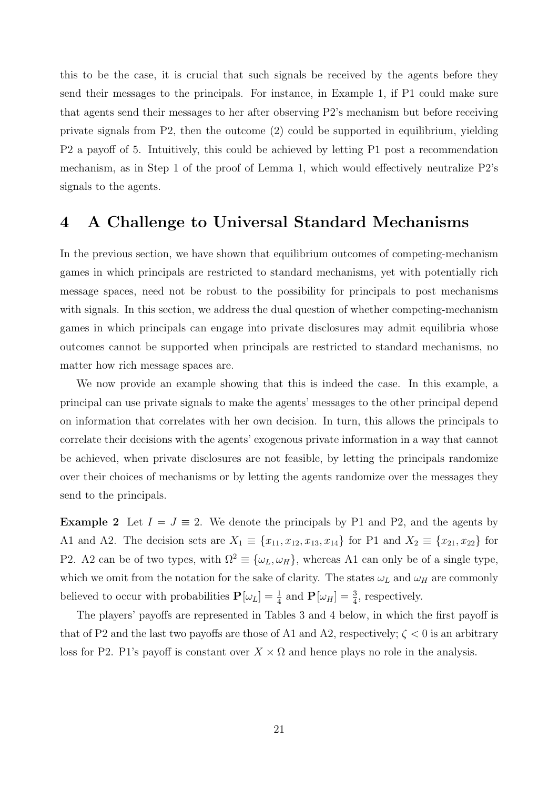this to be the case, it is crucial that such signals be received by the agents before they send their messages to the principals. For instance, in Example 1, if P1 could make sure that agents send their messages to her after observing P2's mechanism but before receiving private signals from P2, then the outcome (2) could be supported in equilibrium, yielding P2 a payoff of 5. Intuitively, this could be achieved by letting P1 post a recommendation mechanism, as in Step 1 of the proof of Lemma 1, which would effectively neutralize P2's signals to the agents.

# 4 A Challenge to Universal Standard Mechanisms

In the previous section, we have shown that equilibrium outcomes of competing-mechanism games in which principals are restricted to standard mechanisms, yet with potentially rich message spaces, need not be robust to the possibility for principals to post mechanisms with signals. In this section, we address the dual question of whether competing-mechanism games in which principals can engage into private disclosures may admit equilibria whose outcomes cannot be supported when principals are restricted to standard mechanisms, no matter how rich message spaces are.

We now provide an example showing that this is indeed the case. In this example, a principal can use private signals to make the agents' messages to the other principal depend on information that correlates with her own decision. In turn, this allows the principals to correlate their decisions with the agents' exogenous private information in a way that cannot be achieved, when private disclosures are not feasible, by letting the principals randomize over their choices of mechanisms or by letting the agents randomize over the messages they send to the principals.

**Example 2** Let  $I = J \equiv 2$ . We denote the principals by P1 and P2, and the agents by A1 and A2. The decision sets are  $X_1 \equiv \{x_{11}, x_{12}, x_{13}, x_{14}\}$  for P1 and  $X_2 \equiv \{x_{21}, x_{22}\}$  for P2. A2 can be of two types, with  $\Omega^2 \equiv {\{\omega_L, \omega_H\}}$ , whereas A1 can only be of a single type, which we omit from the notation for the sake of clarity. The states  $\omega_L$  and  $\omega_H$  are commonly believed to occur with probabilities  $P[\omega_L] = \frac{1}{4}$  and  $P[\omega_H] = \frac{3}{4}$ , respectively.

The players' payoffs are represented in Tables 3 and 4 below, in which the first payoff is that of P2 and the last two payoffs are those of A1 and A2, respectively;  $\zeta < 0$  is an arbitrary loss for P2. P1's payoff is constant over  $X \times \Omega$  and hence plays no role in the analysis.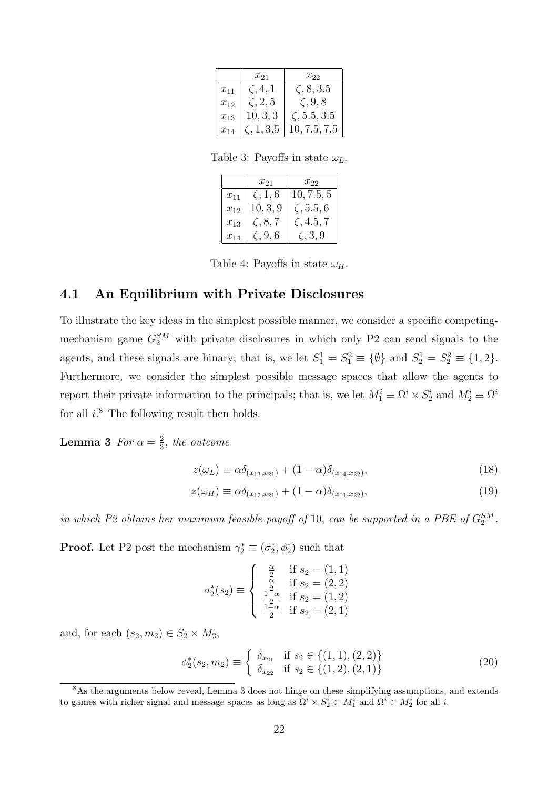|          | $x_{21}$         | $x_{22}$           |
|----------|------------------|--------------------|
| $x_{11}$ | $\zeta$ , 4, 1   | $\zeta, 8, 3.5$    |
| $x_{12}$ | $\zeta$ , 2, 5   | $\zeta$ , 9, 8     |
| $x_{13}$ | 10, 3, 3         | $\zeta$ , 5.5, 3.5 |
| $x_{14}$ | $\zeta$ , 1, 3.5 | 10, 7.5, 7.5       |

Table 3: Payoffs in state  $\omega_L$ .

|          | $x_{21}$       | $x_{22}$         |
|----------|----------------|------------------|
| $x_{11}$ | $\zeta$ , 1, 6 | 10, 7.5, 5       |
| $x_{12}$ | 10, 3, 9       | $\zeta, 5.5, 6$  |
| $x_{13}$ | $\zeta, 8, 7$  | $\zeta$ , 4.5, 7 |
| $x_{14}$ | $\zeta$ , 9, 6 | $\zeta$ , 3, 9   |

Table 4: Payoffs in state  $\omega_H$ .

### 4.1 An Equilibrium with Private Disclosures

To illustrate the key ideas in the simplest possible manner, we consider a specific competingmechanism game  $G_2^{SM}$  with private disclosures in which only P2 can send signals to the agents, and these signals are binary; that is, we let  $S_1^1 = S_1^2 \equiv {\emptyset}$  and  $S_2^1 = S_2^2 \equiv {\{1,2\}}$ . Furthermore, we consider the simplest possible message spaces that allow the agents to report their private information to the principals; that is, we let  $M_1^i \equiv \Omega^i \times S_2^i$  and  $M_2^i \equiv \Omega^i$ for all  $i$ .<sup>8</sup> The following result then holds.

**Lemma 3** For  $\alpha = \frac{2}{3}$  $\frac{2}{3}$ , the outcome

$$
z(\omega_L) \equiv \alpha \delta_{(x_{13}, x_{21})} + (1 - \alpha) \delta_{(x_{14}, x_{22})}, \tag{18}
$$

$$
z(\omega_H) \equiv \alpha \delta_{(x_{12}, x_{21})} + (1 - \alpha) \delta_{(x_{11}, x_{22})}, \tag{19}
$$

in which P2 obtains her maximum feasible payoff of 10, can be supported in a PBE of  $G_2^{SM}$ .

**Proof.** Let P2 post the mechanism  $\gamma_2^* \equiv (\sigma_2^*, \phi_2^*)$  such that

$$
\sigma_2^*(s_2) \equiv \begin{cases} \frac{\frac{\alpha}{2}}{2} & \text{if } s_2 = (1,1) \\ \frac{\frac{\alpha}{2}}{2} & \text{if } s_2 = (2,2) \\ \frac{1-\alpha}{2} & \text{if } s_2 = (1,2) \\ \frac{1-\alpha}{2} & \text{if } s_2 = (2,1) \end{cases}
$$

and, for each  $(s_2, m_2) \in S_2 \times M_2$ ,

$$
\phi_2^*(s_2, m_2) \equiv \begin{cases} \delta_{x_{21}} & \text{if } s_2 \in \{ (1, 1), (2, 2) \} \\ \delta_{x_{22}} & \text{if } s_2 \in \{ (1, 2), (2, 1) \} \end{cases}
$$
 (20)

<sup>&</sup>lt;sup>8</sup>As the arguments below reveal, Lemma 3 does not hinge on these simplifying assumptions, and extends to games with richer signal and message spaces as long as  $\Omega^i \times S_2^i \subset M_1^i$  and  $\Omega^i \subset M_2^i$  for all i.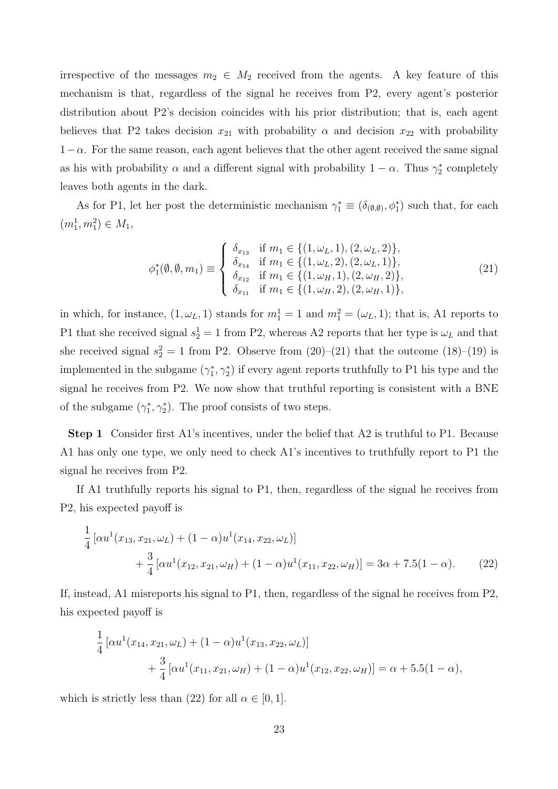irrespective of the messages  $m_2 \in M_2$  received from the agents. A key feature of this mechanism is that, regardless of the signal he receives from P2, every agent's posterior distribution about P2's decision coincides with his prior distribution; that is, each agent believes that P2 takes decision  $x_{21}$  with probability  $\alpha$  and decision  $x_{22}$  with probability  $1-\alpha$ . For the same reason, each agent believes that the other agent received the same signal as his with probability  $\alpha$  and a different signal with probability  $1 - \alpha$ . Thus  $\gamma_2^*$  completely leaves both agents in the dark.

As for P1, let her post the deterministic mechanism  $\gamma_1^* \equiv (\delta_{(\emptyset,\emptyset)}, \phi_1^*)$  such that, for each  $(m_1^1, m_1^2) \in M_1$ ,

$$
\phi_1^*(\emptyset, \emptyset, m_1) \equiv \begin{cases} \delta_{x_{13}} & \text{if } m_1 \in \{ (1, \omega_L, 1), (2, \omega_L, 2) \}, \\ \delta_{x_{14}} & \text{if } m_1 \in \{ (1, \omega_L, 2), (2, \omega_L, 1) \}, \\ \delta_{x_{12}} & \text{if } m_1 \in \{ (1, \omega_H, 1), (2, \omega_H, 2) \}, \\ \delta_{x_{11}} & \text{if } m_1 \in \{ (1, \omega_H, 2), (2, \omega_H, 1) \}, \end{cases}
$$
(21)

in which, for instance,  $(1, \omega_L, 1)$  stands for  $m_1^1 = 1$  and  $m_1^2 = (\omega_L, 1)$ ; that is, A1 reports to P1 that she received signal  $s_2^1 = 1$  from P2, whereas A2 reports that her type is  $\omega_L$  and that she received signal  $s_2^2 = 1$  from P2. Observe from  $(20)$ – $(21)$  that the outcome  $(18)$ – $(19)$  is implemented in the subgame  $(\gamma_1^*, \gamma_2^*)$  if every agent reports truthfully to P1 his type and the signal he receives from P2. We now show that truthful reporting is consistent with a BNE of the subgame  $(\gamma_1^*, \gamma_2^*)$ . The proof consists of two steps.

Step 1 Consider first A1's incentives, under the belief that A2 is truthful to P1. Because A1 has only one type, we only need to check A1's incentives to truthfully report to P1 the signal he receives from P2.

If A1 truthfully reports his signal to P1, then, regardless of the signal he receives from P2, his expected payoff is

$$
\frac{1}{4} \left[ \alpha u^1(x_{13}, x_{21}, \omega_L) + (1 - \alpha) u^1(x_{14}, x_{22}, \omega_L) \right] \n+ \frac{3}{4} \left[ \alpha u^1(x_{12}, x_{21}, \omega_H) + (1 - \alpha) u^1(x_{11}, x_{22}, \omega_H) \right] = 3\alpha + 7.5(1 - \alpha).
$$
\n(22)

If, instead, A1 misreports his signal to P1, then, regardless of the signal he receives from P2, his expected payoff is

$$
\frac{1}{4} [\alpha u^1(x_{14}, x_{21}, \omega_L) + (1 - \alpha) u^1(x_{13}, x_{22}, \omega_L)] \n+ \frac{3}{4} [\alpha u^1(x_{11}, x_{21}, \omega_H) + (1 - \alpha) u^1(x_{12}, x_{22}, \omega_H)] = \alpha + 5.5(1 - \alpha),
$$

which is strictly less than (22) for all  $\alpha \in [0, 1]$ .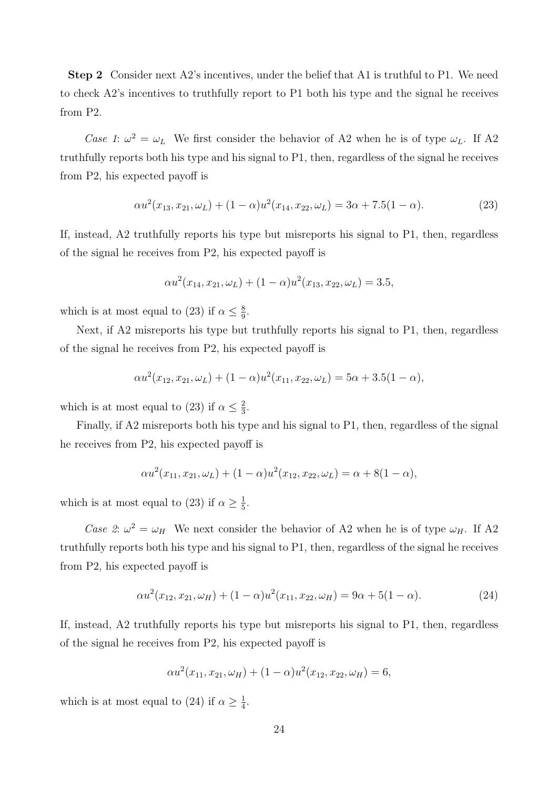Step 2 Consider next A2's incentives, under the belief that A1 is truthful to P1. We need to check A2's incentives to truthfully report to P1 both his type and the signal he receives from P2.

Case 1:  $\omega^2 = \omega_L$  We first consider the behavior of A2 when he is of type  $\omega_L$ . If A2 truthfully reports both his type and his signal to P1, then, regardless of the signal he receives from P2, his expected payoff is

$$
\alpha u^2(x_{13}, x_{21}, \omega_L) + (1 - \alpha)u^2(x_{14}, x_{22}, \omega_L) = 3\alpha + 7.5(1 - \alpha). \tag{23}
$$

If, instead, A2 truthfully reports his type but misreports his signal to P1, then, regardless of the signal he receives from P2, his expected payoff is

$$
\alpha u^2(x_{14}, x_{21}, \omega_L) + (1 - \alpha)u^2(x_{13}, x_{22}, \omega_L) = 3.5,
$$

which is at most equal to (23) if  $\alpha \leq \frac{8}{9}$  $\frac{8}{9}$ .

Next, if A2 misreports his type but truthfully reports his signal to P1, then, regardless of the signal he receives from P2, his expected payoff is

$$
\alpha u^2(x_{12}, x_{21}, \omega_L) + (1 - \alpha)u^2(x_{11}, x_{22}, \omega_L) = 5\alpha + 3.5(1 - \alpha),
$$

which is at most equal to (23) if  $\alpha \leq \frac{2}{3}$  $\frac{2}{3}$ .

Finally, if A2 misreports both his type and his signal to P1, then, regardless of the signal he receives from P2, his expected payoff is

$$
\alpha u^2(x_{11}, x_{21}, \omega_L) + (1 - \alpha)u^2(x_{12}, x_{22}, \omega_L) = \alpha + 8(1 - \alpha),
$$

which is at most equal to (23) if  $\alpha \geq \frac{1}{5}$  $\frac{1}{5}$ .

Case 2:  $\omega^2 = \omega_H$  We next consider the behavior of A2 when he is of type  $\omega_H$ . If A2 truthfully reports both his type and his signal to P1, then, regardless of the signal he receives from P2, his expected payoff is

$$
\alpha u^2(x_{12}, x_{21}, \omega_H) + (1 - \alpha)u^2(x_{11}, x_{22}, \omega_H) = 9\alpha + 5(1 - \alpha). \tag{24}
$$

If, instead, A2 truthfully reports his type but misreports his signal to P1, then, regardless of the signal he receives from P2, his expected payoff is

$$
\alpha u^2(x_{11}, x_{21}, \omega_H) + (1 - \alpha)u^2(x_{12}, x_{22}, \omega_H) = 6,
$$

which is at most equal to (24) if  $\alpha \geq \frac{1}{4}$  $\frac{1}{4}$ .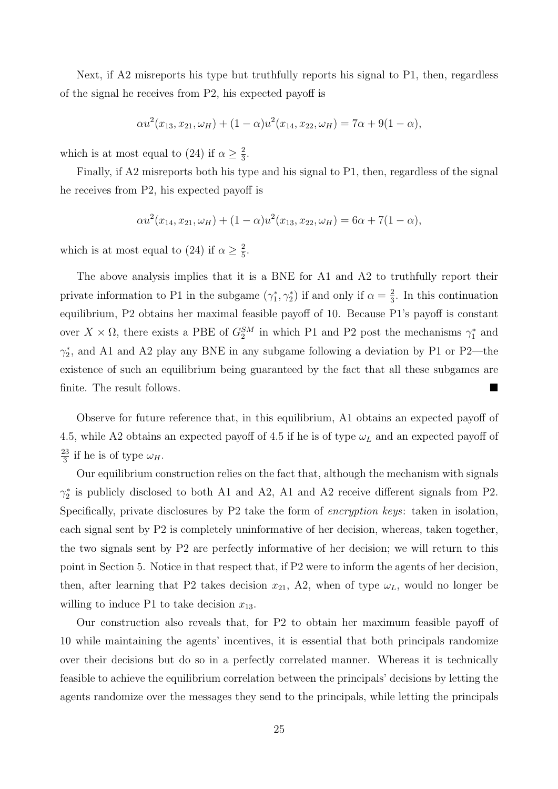Next, if A2 misreports his type but truthfully reports his signal to P1, then, regardless of the signal he receives from P2, his expected payoff is

$$
\alpha u^2(x_{13}, x_{21}, \omega_H) + (1 - \alpha)u^2(x_{14}, x_{22}, \omega_H) = 7\alpha + 9(1 - \alpha),
$$

which is at most equal to (24) if  $\alpha \geq \frac{2}{3}$  $\frac{2}{3}$ .

Finally, if A2 misreports both his type and his signal to P1, then, regardless of the signal he receives from P2, his expected payoff is

$$
\alpha u^2(x_{14}, x_{21}, \omega_H) + (1 - \alpha)u^2(x_{13}, x_{22}, \omega_H) = 6\alpha + 7(1 - \alpha),
$$

which is at most equal to (24) if  $\alpha \geq \frac{2}{5}$  $\frac{2}{5}$ .

The above analysis implies that it is a BNE for A1 and A2 to truthfully report their private information to P1 in the subgame  $(\gamma_1^*, \gamma_2^*)$  if and only if  $\alpha = \frac{2}{3}$  $\frac{2}{3}$ . In this continuation equilibrium, P2 obtains her maximal feasible payoff of 10. Because P1's payoff is constant over  $X \times \Omega$ , there exists a PBE of  $G_2^{SM}$  in which P1 and P2 post the mechanisms  $\gamma_1^*$  and  $\gamma_2^*$ , and A1 and A2 play any BNE in any subgame following a deviation by P1 or P2—the existence of such an equilibrium being guaranteed by the fact that all these subgames are finite. The result follows.

Observe for future reference that, in this equilibrium, A1 obtains an expected payoff of 4.5, while A2 obtains an expected payoff of 4.5 if he is of type  $\omega_L$  and an expected payoff of 23  $\frac{23}{3}$  if he is of type  $\omega_H$ .

Our equilibrium construction relies on the fact that, although the mechanism with signals  $\gamma_2^*$  is publicly disclosed to both A1 and A2, A1 and A2 receive different signals from P2. Specifically, private disclosures by P2 take the form of encryption keys: taken in isolation, each signal sent by P2 is completely uninformative of her decision, whereas, taken together, the two signals sent by P2 are perfectly informative of her decision; we will return to this point in Section 5. Notice in that respect that, if P2 were to inform the agents of her decision, then, after learning that P2 takes decision  $x_{21}$ , A2, when of type  $\omega_L$ , would no longer be willing to induce P1 to take decision  $x_{13}$ .

Our construction also reveals that, for P2 to obtain her maximum feasible payoff of 10 while maintaining the agents' incentives, it is essential that both principals randomize over their decisions but do so in a perfectly correlated manner. Whereas it is technically feasible to achieve the equilibrium correlation between the principals' decisions by letting the agents randomize over the messages they send to the principals, while letting the principals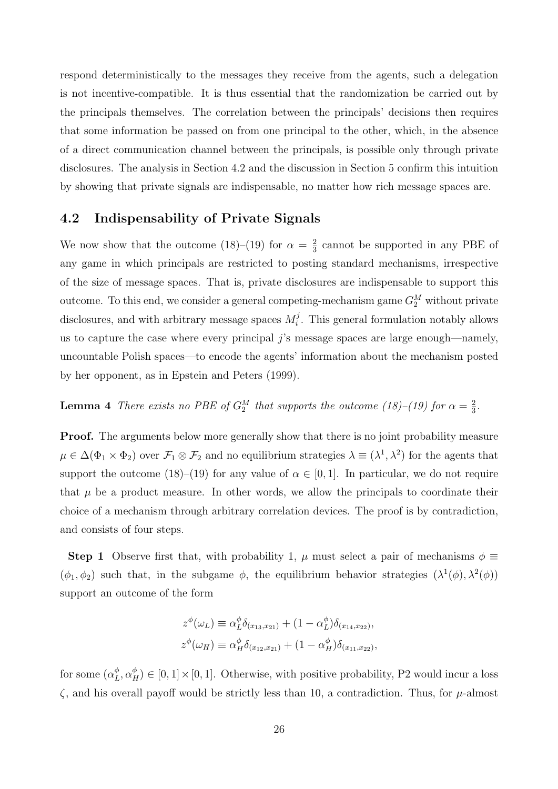respond deterministically to the messages they receive from the agents, such a delegation is not incentive-compatible. It is thus essential that the randomization be carried out by the principals themselves. The correlation between the principals' decisions then requires that some information be passed on from one principal to the other, which, in the absence of a direct communication channel between the principals, is possible only through private disclosures. The analysis in Section 4.2 and the discussion in Section 5 confirm this intuition by showing that private signals are indispensable, no matter how rich message spaces are.

#### 4.2 Indispensability of Private Signals

We now show that the outcome (18)–(19) for  $\alpha = \frac{2}{3}$  $\frac{2}{3}$  cannot be supported in any PBE of any game in which principals are restricted to posting standard mechanisms, irrespective of the size of message spaces. That is, private disclosures are indispensable to support this outcome. To this end, we consider a general competing-mechanism game  $G_2^M$  without private disclosures, and with arbitrary message spaces  $M_i^j$  $i<sup>j</sup>$ . This general formulation notably allows us to capture the case where every principal  $j$ 's message spaces are large enough—namely, uncountable Polish spaces—to encode the agents' information about the mechanism posted by her opponent, as in Epstein and Peters (1999).

#### **Lemma 4** There exists no PBE of  $G_2^M$  that supports the outcome (18)–(19) for  $\alpha = \frac{2}{3}$  $\frac{2}{3}$ .

**Proof.** The arguments below more generally show that there is no joint probability measure  $\mu \in \Delta(\Phi_1 \times \Phi_2)$  over  $\mathcal{F}_1 \otimes \mathcal{F}_2$  and no equilibrium strategies  $\lambda \equiv (\lambda^1, \lambda^2)$  for the agents that support the outcome (18)–(19) for any value of  $\alpha \in [0,1]$ . In particular, we do not require that  $\mu$  be a product measure. In other words, we allow the principals to coordinate their choice of a mechanism through arbitrary correlation devices. The proof is by contradiction, and consists of four steps.

**Step 1** Observe first that, with probability 1,  $\mu$  must select a pair of mechanisms  $\phi \equiv$  $(\phi_1, \phi_2)$  such that, in the subgame  $\phi$ , the equilibrium behavior strategies  $(\lambda^1(\phi), \lambda^2(\phi))$ support an outcome of the form

$$
z^{\phi}(\omega_L) \equiv \alpha_L^{\phi} \delta_{(x_{13}, x_{21})} + (1 - \alpha_L^{\phi}) \delta_{(x_{14}, x_{22})},
$$
  

$$
z^{\phi}(\omega_H) \equiv \alpha_H^{\phi} \delta_{(x_{12}, x_{21})} + (1 - \alpha_H^{\phi}) \delta_{(x_{11}, x_{22})},
$$

for some  $(\alpha_I^{\phi}$  $(L, \alpha_H^{\phi}) \in [0, 1] \times [0, 1]$ . Otherwise, with positive probability, P2 would incur a loss  $\zeta$ , and his overall payoff would be strictly less than 10, a contradiction. Thus, for  $\mu$ -almost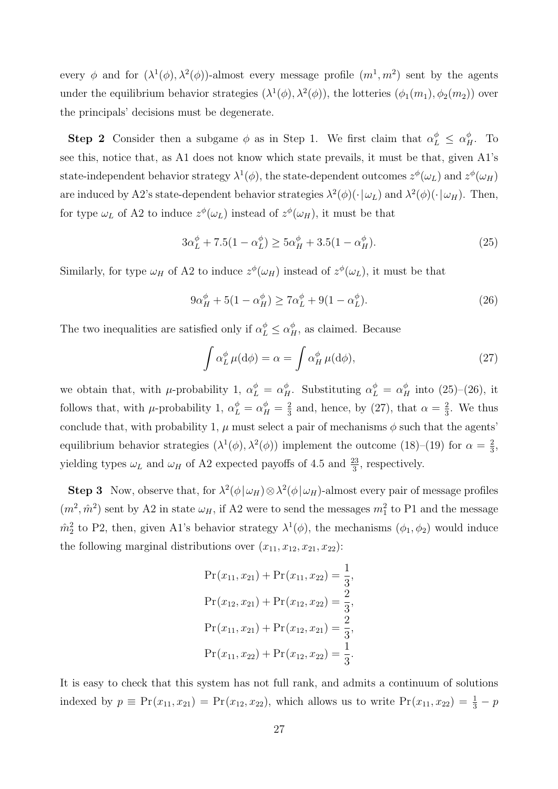every  $\phi$  and for  $(\lambda^1(\phi), \lambda^2(\phi))$ -almost every message profile  $(m^1, m^2)$  sent by the agents under the equilibrium behavior strategies  $(\lambda^1(\phi), \lambda^2(\phi))$ , the lotteries  $(\phi_1(m_1), \phi_2(m_2))$  over the principals' decisions must be degenerate.

**Step 2** Consider then a subgame  $\phi$  as in Step 1. We first claim that  $\alpha_L^{\phi} \leq \alpha_H^{\phi}$ . To see this, notice that, as A1 does not know which state prevails, it must be that, given A1's state-independent behavior strategy  $\lambda^1(\phi)$ , the state-dependent outcomes  $z^{\phi}(\omega_L)$  and  $z^{\phi}(\omega_H)$ are induced by A2's state-dependent behavior strategies  $\lambda^2(\phi)(\cdot|\omega_L)$  and  $\lambda^2(\phi)(\cdot|\omega_H)$ . Then, for type  $\omega_L$  of A2 to induce  $z^{\phi}(\omega_L)$  instead of  $z^{\phi}(\omega_H)$ , it must be that

$$
3\alpha_L^{\phi} + 7.5(1 - \alpha_L^{\phi}) \ge 5\alpha_H^{\phi} + 3.5(1 - \alpha_H^{\phi}).
$$
\n(25)

Similarly, for type  $\omega_H$  of A2 to induce  $z^{\phi}(\omega_H)$  instead of  $z^{\phi}(\omega_L)$ , it must be that

$$
9\alpha_H^{\phi} + 5(1 - \alpha_H^{\phi}) \ge 7\alpha_L^{\phi} + 9(1 - \alpha_L^{\phi}).
$$
\n(26)

The two inequalities are satisfied only if  $\alpha_L^{\phi} \leq \alpha_H^{\phi}$ , as claimed. Because

$$
\int \alpha_L^{\phi} \mu(\mathrm{d}\phi) = \alpha = \int \alpha_H^{\phi} \mu(\mathrm{d}\phi),\tag{27}
$$

we obtain that, with  $\mu$ -probability 1,  $\alpha_L^{\phi} = \alpha_H^{\phi}$ . Substituting  $\alpha_L^{\phi} = \alpha_H^{\phi}$  into (25)–(26), it follows that, with  $\mu$ -probability 1,  $\alpha_L^{\phi} = \alpha_H^{\phi} = \frac{2}{3}$  $\frac{2}{3}$  and, hence, by (27), that  $\alpha = \frac{2}{3}$  $\frac{2}{3}$ . We thus conclude that, with probability 1,  $\mu$  must select a pair of mechanisms  $\phi$  such that the agents' equilibrium behavior strategies  $(\lambda^1(\phi), \lambda^2(\phi))$  implement the outcome (18)–(19) for  $\alpha = \frac{2}{3}$  $\frac{2}{3}$ , yielding types  $\omega_L$  and  $\omega_H$  of A2 expected payoffs of 4.5 and  $\frac{23}{3}$ , respectively.

**Step 3** Now, observe that, for  $\lambda^2(\phi|\omega_H) \otimes \lambda^2(\phi|\omega_H)$ -almost every pair of message profiles  $(m^2, \hat{m}^2)$  sent by A2 in state  $\omega_H$ , if A2 were to send the messages  $m_1^2$  to P1 and the message  $\hat{m}_2^2$  to P2, then, given A1's behavior strategy  $\lambda^1(\phi)$ , the mechanisms  $(\phi_1, \phi_2)$  would induce the following marginal distributions over  $(x_{11}, x_{12}, x_{21}, x_{22})$ :

$$
Pr(x_{11}, x_{21}) + Pr(x_{11}, x_{22}) = \frac{1}{3},
$$
  
\n
$$
Pr(x_{12}, x_{21}) + Pr(x_{12}, x_{22}) = \frac{2}{3},
$$
  
\n
$$
Pr(x_{11}, x_{21}) + Pr(x_{12}, x_{21}) = \frac{2}{3},
$$
  
\n
$$
Pr(x_{11}, x_{22}) + Pr(x_{12}, x_{22}) = \frac{1}{3}.
$$

It is easy to check that this system has not full rank, and admits a continuum of solutions indexed by  $p \equiv Pr(x_{11}, x_{21}) = Pr(x_{12}, x_{22})$ , which allows us to write  $Pr(x_{11}, x_{22}) = \frac{1}{3} - p$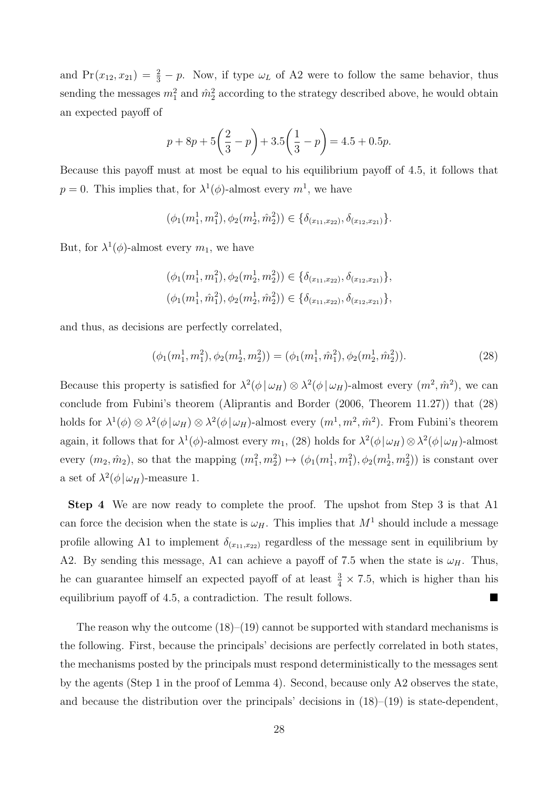and  $Pr(x_{12}, x_{21}) = \frac{2}{3} - p$ . Now, if type  $\omega_L$  of A2 were to follow the same behavior, thus sending the messages  $m_1^2$  and  $\hat{m}_2^2$  according to the strategy described above, he would obtain an expected payoff of

$$
p + 8p + 5\left(\frac{2}{3} - p\right) + 3.5\left(\frac{1}{3} - p\right) = 4.5 + 0.5p.
$$

Because this payoff must at most be equal to his equilibrium payoff of 4.5, it follows that  $p = 0$ . This implies that, for  $\lambda^1(\phi)$ -almost every  $m^1$ , we have

$$
(\phi_1(m_1^1, m_1^2), \phi_2(m_2^1, \hat{m}_2^2)) \in \{\delta_{(x_{11}, x_{22})}, \delta_{(x_{12}, x_{21})}\}.
$$

But, for  $\lambda^1(\phi)$ -almost every  $m_1$ , we have

$$
(\phi_1(m_1^1, m_1^2), \phi_2(m_2^1, m_2^2)) \in \{\delta_{(x_{11}, x_{22})}, \delta_{(x_{12}, x_{21})}\},\
$$
  

$$
(\phi_1(m_1^1, \hat{m}_1^2), \phi_2(m_2^1, \hat{m}_2^2)) \in \{\delta_{(x_{11}, x_{22})}, \delta_{(x_{12}, x_{21})}\},
$$

and thus, as decisions are perfectly correlated,

$$
(\phi_1(m_1^1, m_1^2), \phi_2(m_2^1, m_2^2)) = (\phi_1(m_1^1, \hat{m}_1^2), \phi_2(m_2^1, \hat{m}_2^2)).
$$
\n(28)

Because this property is satisfied for  $\lambda^2(\phi | \omega_H) \otimes \lambda^2(\phi | \omega_H)$ -almost every  $(m^2, \hat{m}^2)$ , we can conclude from Fubini's theorem (Aliprantis and Border (2006, Theorem 11.27)) that (28) holds for  $\lambda^1(\phi) \otimes \lambda^2(\phi | \omega_H) \otimes \lambda^2(\phi | \omega_H)$ -almost every  $(m^1, m^2, \hat{m}^2)$ . From Fubini's theorem again, it follows that for  $\lambda^1(\phi)$ -almost every  $m_1$ , (28) holds for  $\lambda^2(\phi|\omega_H) \otimes \lambda^2(\phi|\omega_H)$ -almost every  $(m_2, \hat{m}_2)$ , so that the mapping  $(m_1^2, m_2^2) \mapsto (\phi_1(m_1^1, m_1^2), \phi_2(m_2^1, m_2^2))$  is constant over a set of  $\lambda^2(\phi|\omega_H)$ -measure 1.

Step 4 We are now ready to complete the proof. The upshot from Step 3 is that A1 can force the decision when the state is  $\omega_H$ . This implies that  $M^1$  should include a message profile allowing A1 to implement  $\delta_{(x_{11},x_{22})}$  regardless of the message sent in equilibrium by A2. By sending this message, A1 can achieve a payoff of 7.5 when the state is  $\omega_H$ . Thus, he can guarantee himself an expected payoff of at least  $\frac{3}{4} \times 7.5$ , which is higher than his equilibrium payoff of 4.5, a contradiction. The result follows.

The reason why the outcome  $(18)$ – $(19)$  cannot be supported with standard mechanisms is the following. First, because the principals' decisions are perfectly correlated in both states, the mechanisms posted by the principals must respond deterministically to the messages sent by the agents (Step 1 in the proof of Lemma 4). Second, because only A2 observes the state, and because the distribution over the principals' decisions in  $(18)$ – $(19)$  is state-dependent,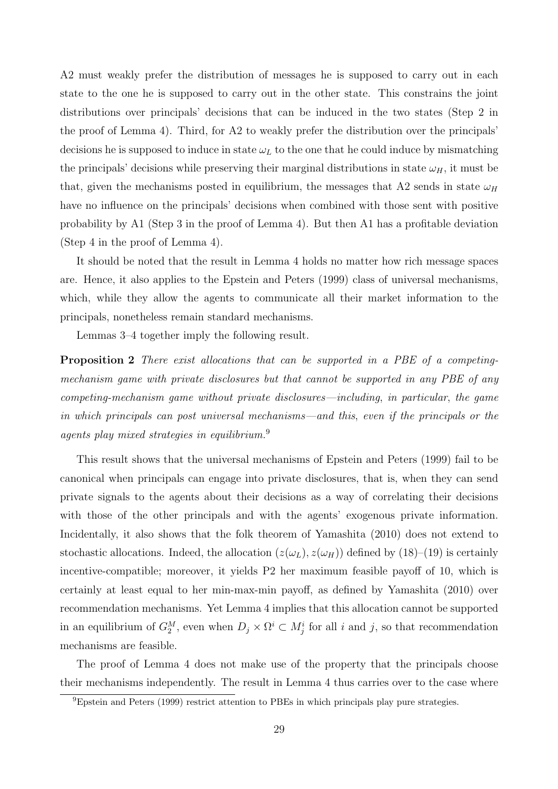A2 must weakly prefer the distribution of messages he is supposed to carry out in each state to the one he is supposed to carry out in the other state. This constrains the joint distributions over principals' decisions that can be induced in the two states (Step 2 in the proof of Lemma 4). Third, for A2 to weakly prefer the distribution over the principals' decisions he is supposed to induce in state  $\omega_L$  to the one that he could induce by mismatching the principals' decisions while preserving their marginal distributions in state  $\omega_H$ , it must be that, given the mechanisms posted in equilibrium, the messages that A2 sends in state  $\omega_H$ have no influence on the principals' decisions when combined with those sent with positive probability by A1 (Step 3 in the proof of Lemma 4). But then A1 has a profitable deviation (Step 4 in the proof of Lemma 4).

It should be noted that the result in Lemma 4 holds no matter how rich message spaces are. Hence, it also applies to the Epstein and Peters (1999) class of universal mechanisms, which, while they allow the agents to communicate all their market information to the principals, nonetheless remain standard mechanisms.

Lemmas 3–4 together imply the following result.

Proposition 2 There exist allocations that can be supported in a PBE of a competingmechanism game with private disclosures but that cannot be supported in any PBE of any competing-mechanism game without private disclosures—including, in particular, the game in which principals can post universal mechanisms—and this, even if the principals or the agents play mixed strategies in equilibrium.<sup>9</sup>

This result shows that the universal mechanisms of Epstein and Peters (1999) fail to be canonical when principals can engage into private disclosures, that is, when they can send private signals to the agents about their decisions as a way of correlating their decisions with those of the other principals and with the agents' exogenous private information. Incidentally, it also shows that the folk theorem of Yamashita (2010) does not extend to stochastic allocations. Indeed, the allocation  $(z(\omega_L), z(\omega_H))$  defined by  $(18)$ – $(19)$  is certainly incentive-compatible; moreover, it yields P2 her maximum feasible payoff of 10, which is certainly at least equal to her min-max-min payoff, as defined by Yamashita (2010) over recommendation mechanisms. Yet Lemma 4 implies that this allocation cannot be supported in an equilibrium of  $G_2^M$ , even when  $D_j \times \Omega^i \subset M_j^i$  for all i and j, so that recommendation mechanisms are feasible.

The proof of Lemma 4 does not make use of the property that the principals choose their mechanisms independently. The result in Lemma 4 thus carries over to the case where

<sup>9</sup>Epstein and Peters (1999) restrict attention to PBEs in which principals play pure strategies.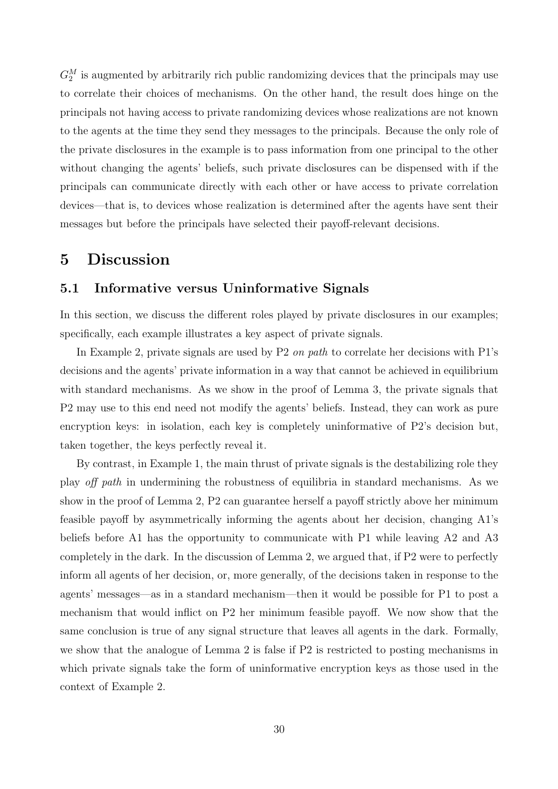$G_2^M$  is augmented by arbitrarily rich public randomizing devices that the principals may use to correlate their choices of mechanisms. On the other hand, the result does hinge on the principals not having access to private randomizing devices whose realizations are not known to the agents at the time they send they messages to the principals. Because the only role of the private disclosures in the example is to pass information from one principal to the other without changing the agents' beliefs, such private disclosures can be dispensed with if the principals can communicate directly with each other or have access to private correlation devices—that is, to devices whose realization is determined after the agents have sent their messages but before the principals have selected their payoff-relevant decisions.

# 5 Discussion

#### 5.1 Informative versus Uninformative Signals

In this section, we discuss the different roles played by private disclosures in our examples; specifically, each example illustrates a key aspect of private signals.

In Example 2, private signals are used by P2 on path to correlate her decisions with  $P1$ 's decisions and the agents' private information in a way that cannot be achieved in equilibrium with standard mechanisms. As we show in the proof of Lemma 3, the private signals that P2 may use to this end need not modify the agents' beliefs. Instead, they can work as pure encryption keys: in isolation, each key is completely uninformative of P2's decision but, taken together, the keys perfectly reveal it.

By contrast, in Example 1, the main thrust of private signals is the destabilizing role they play off path in undermining the robustness of equilibria in standard mechanisms. As we show in the proof of Lemma 2, P2 can guarantee herself a payoff strictly above her minimum feasible payoff by asymmetrically informing the agents about her decision, changing A1's beliefs before A1 has the opportunity to communicate with P1 while leaving A2 and A3 completely in the dark. In the discussion of Lemma 2, we argued that, if P2 were to perfectly inform all agents of her decision, or, more generally, of the decisions taken in response to the agents' messages—as in a standard mechanism—then it would be possible for P1 to post a mechanism that would inflict on P2 her minimum feasible payoff. We now show that the same conclusion is true of any signal structure that leaves all agents in the dark. Formally, we show that the analogue of Lemma 2 is false if P2 is restricted to posting mechanisms in which private signals take the form of uninformative encryption keys as those used in the context of Example 2.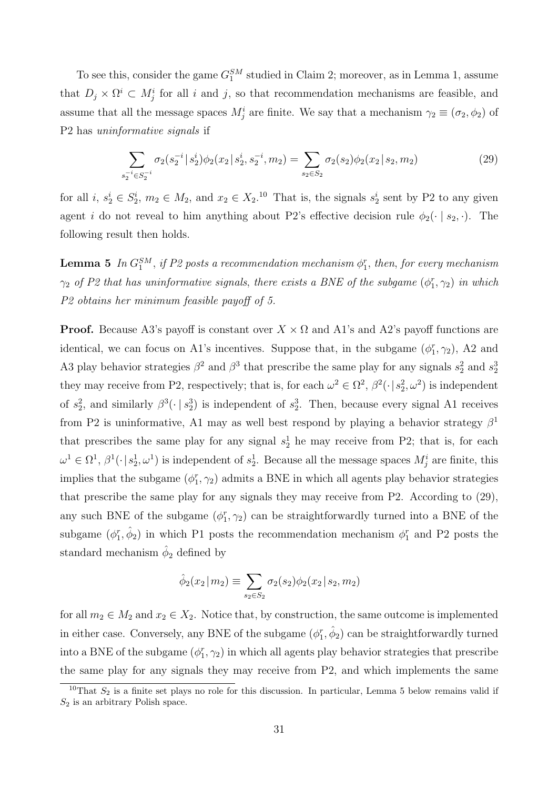To see this, consider the game  $G_1^{SM}$  studied in Claim 2; moreover, as in Lemma 1, assume that  $D_j \times \Omega^i \subset M_j^i$  for all i and j, so that recommendation mechanisms are feasible, and assume that all the message spaces  $M_j^i$  are finite. We say that a mechanism  $\gamma_2 \equiv (\sigma_2, \phi_2)$  of P2 has uninformative signals if

$$
\sum_{s_2^{-i} \in S_2^{-i}} \sigma_2(s_2^{-i} | s_2^{i}) \phi_2(x_2 | s_2^{i}, s_2^{-i}, m_2) = \sum_{s_2 \in S_2} \sigma_2(s_2) \phi_2(x_2 | s_2, m_2)
$$
\n(29)

for all  $i, s_2^i \in S_2^i$ ,  $m_2 \in M_2$ , and  $x_2 \in X_2$ .<sup>10</sup> That is, the signals  $s_2^i$  sent by P2 to any given agent i do not reveal to him anything about P2's effective decision rule  $\phi_2(\cdot \mid s_2, \cdot)$ . The following result then holds.

**Lemma 5** In  $G_1^{SM}$ , if P2 posts a recommendation mechanism  $\phi_1^r$ , then, for every mechanism  $\gamma_2$  of P2 that has uninformative signals, there exists a BNE of the subgame  $(\phi_1^r, \gamma_2)$  in which P2 obtains her minimum feasible payoff of 5.

**Proof.** Because A3's payoff is constant over  $X \times \Omega$  and A1's and A2's payoff functions are identical, we can focus on A1's incentives. Suppose that, in the subgame  $(\phi_1^r, \gamma_2)$ , A2 and A3 play behavior strategies  $\beta^2$  and  $\beta^3$  that prescribe the same play for any signals  $s_2^2$  and  $s_2^3$ they may receive from P2, respectively; that is, for each  $\omega^2 \in \Omega^2$ ,  $\beta^2(\cdot | s_2^2, \omega^2)$  is independent of  $s_2^2$ , and similarly  $\beta^3(\cdot | s_2^3)$  is independent of  $s_2^3$ . Then, because every signal A1 receives from P2 is uninformative, A1 may as well best respond by playing a behavior strategy  $\beta^1$ that prescribes the same play for any signal  $s_2^1$  he may receive from P2; that is, for each  $\omega^1 \in \Omega^1$ ,  $\beta^1(\cdot | s_2^1, \omega^1)$  is independent of  $s_2^1$ . Because all the message spaces  $M_j^i$  are finite, this implies that the subgame  $(\phi_1^r, \gamma_2)$  admits a BNE in which all agents play behavior strategies that prescribe the same play for any signals they may receive from P2. According to (29), any such BNE of the subgame  $(\phi_1^r, \gamma_2)$  can be straightforwardly turned into a BNE of the subgame  $(\phi_1^r, \hat{\phi}_2)$  in which P1 posts the recommendation mechanism  $\phi_1^r$  and P2 posts the standard mechanism  $\hat{\phi}_2$  defined by

$$
\hat{\phi}_2(x_2 \,|\, m_2) \equiv \sum_{s_2 \in S_2} \sigma_2(s_2) \phi_2(x_2 \,|\, s_2, m_2)
$$

for all  $m_2 \in M_2$  and  $x_2 \in X_2$ . Notice that, by construction, the same outcome is implemented in either case. Conversely, any BNE of the subgame  $(\phi_1^r, \hat{\phi}_2)$  can be straightforwardly turned into a BNE of the subgame  $(\phi_1^r, \gamma_2)$  in which all agents play behavior strategies that prescribe the same play for any signals they may receive from P2, and which implements the same

<sup>&</sup>lt;sup>10</sup>That  $S_2$  is a finite set plays no role for this discussion. In particular, Lemma 5 below remains valid if  $S_2$  is an arbitrary Polish space.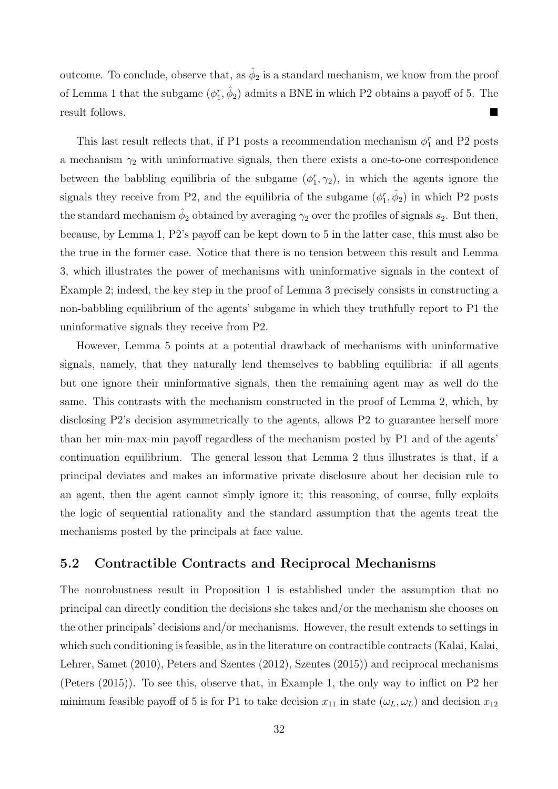outcome. To conclude, observe that, as  $\hat{\phi}_2$  is a standard mechanism, we know from the proof of Lemma 1 that the subgame  $(\phi_1^r, \hat{\phi}_2)$  admits a BNE in which P2 obtains a payoff of 5. The result follows.

This last result reflects that, if P1 posts a recommendation mechanism  $\phi_1^r$  and P2 posts a mechanism  $\gamma_2$  with uninformative signals, then there exists a one-to-one correspondence between the babbling equilibria of the subgame  $(\phi_1^r, \gamma_2)$ , in which the agents ignore the signals they receive from P2, and the equilibria of the subgame  $(\phi_1^r, \hat{\phi}_2)$  in which P2 posts the standard mechanism  $\hat{\phi}_2$  obtained by averaging  $\gamma_2$  over the profiles of signals  $s_2$ . But then, because, by Lemma 1, P2's payoff can be kept down to 5 in the latter case, this must also be the true in the former case. Notice that there is no tension between this result and Lemma 3, which illustrates the power of mechanisms with uninformative signals in the context of Example 2; indeed, the key step in the proof of Lemma 3 precisely consists in constructing a non-babbling equilibrium of the agents' subgame in which they truthfully report to P1 the uninformative signals they receive from P2.

However, Lemma 5 points at a potential drawback of mechanisms with uninformative signals, namely, that they naturally lend themselves to babbling equilibria: if all agents but one ignore their uninformative signals, then the remaining agent may as well do the same. This contrasts with the mechanism constructed in the proof of Lemma 2, which, by disclosing P2's decision asymmetrically to the agents, allows P2 to guarantee herself more than her min-max-min payoff regardless of the mechanism posted by P1 and of the agents' continuation equilibrium. The general lesson that Lemma 2 thus illustrates is that, if a principal deviates and makes an informative private disclosure about her decision rule to an agent, then the agent cannot simply ignore it; this reasoning, of course, fully exploits the logic of sequential rationality and the standard assumption that the agents treat the mechanisms posted by the principals at face value.

### 5.2 Contractible Contracts and Reciprocal Mechanisms

The nonrobustness result in Proposition 1 is established under the assumption that no principal can directly condition the decisions she takes and/or the mechanism she chooses on the other principals' decisions and/or mechanisms. However, the result extends to settings in which such conditioning is feasible, as in the literature on contractible contracts (Kalai, Kalai, Lehrer, Samet (2010), Peters and Szentes (2012), Szentes (2015)) and reciprocal mechanisms (Peters (2015)). To see this, observe that, in Example 1, the only way to inflict on P2 her minimum feasible payoff of 5 is for P1 to take decision  $x_{11}$  in state  $(\omega_L, \omega_L)$  and decision  $x_{12}$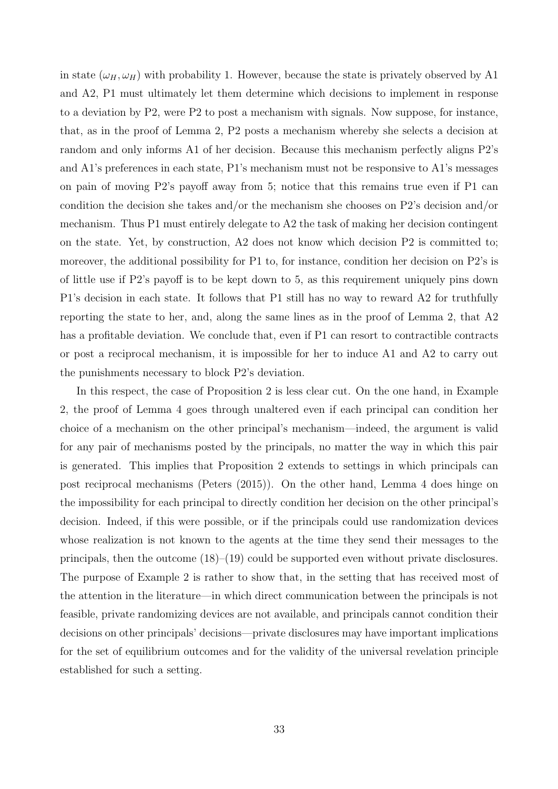in state  $(\omega_H, \omega_H)$  with probability 1. However, because the state is privately observed by A1 and A2, P1 must ultimately let them determine which decisions to implement in response to a deviation by P2, were P2 to post a mechanism with signals. Now suppose, for instance, that, as in the proof of Lemma 2, P2 posts a mechanism whereby she selects a decision at random and only informs A1 of her decision. Because this mechanism perfectly aligns P2's and A1's preferences in each state, P1's mechanism must not be responsive to A1's messages on pain of moving P2's payoff away from 5; notice that this remains true even if P1 can condition the decision she takes and/or the mechanism she chooses on P2's decision and/or mechanism. Thus P1 must entirely delegate to  $A2$  the task of making her decision contingent on the state. Yet, by construction, A2 does not know which decision P2 is committed to; moreover, the additional possibility for P1 to, for instance, condition her decision on P2's is of little use if P2's payoff is to be kept down to 5, as this requirement uniquely pins down P1's decision in each state. It follows that P1 still has no way to reward A2 for truthfully reporting the state to her, and, along the same lines as in the proof of Lemma 2, that A2 has a profitable deviation. We conclude that, even if P1 can resort to contractible contracts or post a reciprocal mechanism, it is impossible for her to induce A1 and A2 to carry out the punishments necessary to block P2's deviation.

In this respect, the case of Proposition 2 is less clear cut. On the one hand, in Example 2, the proof of Lemma 4 goes through unaltered even if each principal can condition her choice of a mechanism on the other principal's mechanism—indeed, the argument is valid for any pair of mechanisms posted by the principals, no matter the way in which this pair is generated. This implies that Proposition 2 extends to settings in which principals can post reciprocal mechanisms (Peters (2015)). On the other hand, Lemma 4 does hinge on the impossibility for each principal to directly condition her decision on the other principal's decision. Indeed, if this were possible, or if the principals could use randomization devices whose realization is not known to the agents at the time they send their messages to the principals, then the outcome (18)–(19) could be supported even without private disclosures. The purpose of Example 2 is rather to show that, in the setting that has received most of the attention in the literature—in which direct communication between the principals is not feasible, private randomizing devices are not available, and principals cannot condition their decisions on other principals' decisions—private disclosures may have important implications for the set of equilibrium outcomes and for the validity of the universal revelation principle established for such a setting.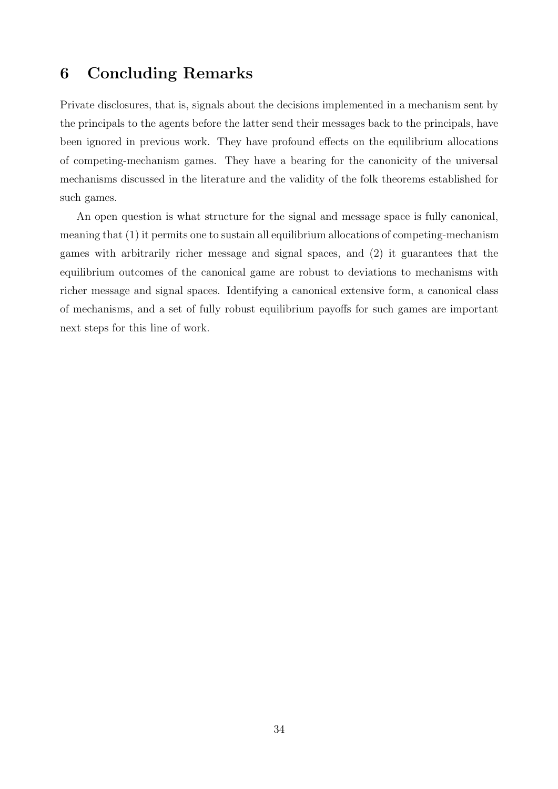# 6 Concluding Remarks

Private disclosures, that is, signals about the decisions implemented in a mechanism sent by the principals to the agents before the latter send their messages back to the principals, have been ignored in previous work. They have profound effects on the equilibrium allocations of competing-mechanism games. They have a bearing for the canonicity of the universal mechanisms discussed in the literature and the validity of the folk theorems established for such games.

An open question is what structure for the signal and message space is fully canonical, meaning that (1) it permits one to sustain all equilibrium allocations of competing-mechanism games with arbitrarily richer message and signal spaces, and (2) it guarantees that the equilibrium outcomes of the canonical game are robust to deviations to mechanisms with richer message and signal spaces. Identifying a canonical extensive form, a canonical class of mechanisms, and a set of fully robust equilibrium payoffs for such games are important next steps for this line of work.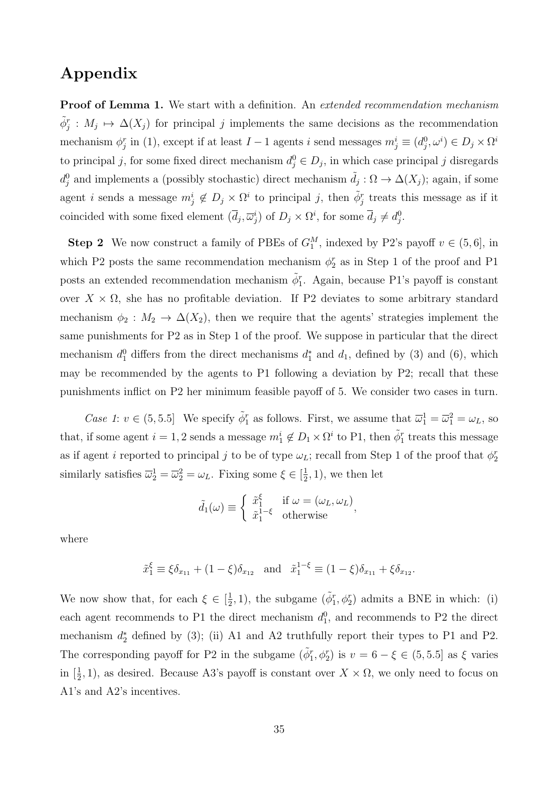# Appendix

**Proof of Lemma 1.** We start with a definition. An extended recommendation mechanism  $\tilde{\phi}_j^r : M_j \mapsto \Delta(X_j)$  for principal j implements the same decisions as the recommendation mechanism  $\phi_j^r$  in (1), except if at least  $I-1$  agents i send messages  $m_j^i \equiv (d_j^0, \omega^i) \in D_j \times \Omega^i$ to principal j, for some fixed direct mechanism  $d_j^0 \in D_j$ , in which case principal j disregards  $d_j^0$  and implements a (possibly stochastic) direct mechanism  $\tilde{d}_j : \Omega \to \Delta(X_j)$ ; again, if some agent *i* sends a message  $m_j^i \notin D_j \times \Omega^i$  to principal *j*, then  $\tilde{\phi}_j^r$  treats this message as if it coincided with some fixed element  $(\overline{d}_j, \overline{\omega}_j^i)$  of  $D_j \times \Omega^i$ , for some  $\overline{d}_j \neq d_j^0$ .

**Step 2** We now construct a family of PBEs of  $G_1^M$ , indexed by P2's payoff  $v \in (5,6]$ , in which P2 posts the same recommendation mechanism  $\phi_2^r$  as in Step 1 of the proof and P1 posts an extended recommendation mechanism  $\tilde{\phi}_1^r$ . Again, because P1's payoff is constant over  $X \times \Omega$ , she has no profitable deviation. If P2 deviates to some arbitrary standard mechanism  $\phi_2 : M_2 \to \Delta(X_2)$ , then we require that the agents' strategies implement the same punishments for P2 as in Step 1 of the proof. We suppose in particular that the direct mechanism  $d_1^0$  differs from the direct mechanisms  $d_1^*$  and  $d_1$ , defined by (3) and (6), which may be recommended by the agents to P1 following a deviation by P2; recall that these punishments inflict on P2 her minimum feasible payoff of 5. We consider two cases in turn.

Case 1:  $v \in (5, 5.5]$  We specify  $\tilde{\phi}_1^r$  as follows. First, we assume that  $\overline{\omega}_1^1 = \overline{\omega}_1^2 = \omega_L$ , so that, if some agent  $i = 1, 2$  sends a message  $m_1^i \notin D_1 \times \Omega^i$  to P1, then  $\tilde{\phi}_1^r$  treats this message as if agent *i* reported to principal *j* to be of type  $\omega_L$ ; recall from Step 1 of the proof that  $\phi_2^r$ similarly satisfies  $\overline{\omega}_2^1 = \overline{\omega}_2^2 = \omega_L$ . Fixing some  $\xi \in [\frac{1}{2}]$  $(\frac{1}{2}, 1)$ , we then let

$$
\tilde{d}_1(\omega) \equiv \begin{cases} \tilde{x}_1^{\xi} & \text{if } \omega = (\omega_L, \omega_L), \\ \tilde{x}_1^{1-\xi} & \text{otherwise} \end{cases}
$$

where

$$
\tilde{x}_1^{\xi} \equiv \xi \delta_{x_{11}} + (1 - \xi) \delta_{x_{12}}
$$
 and  $\tilde{x}_1^{1-\xi} \equiv (1 - \xi) \delta_{x_{11}} + \xi \delta_{x_{12}}.$ 

We now show that, for each  $\xi \in \left[\frac{1}{2}\right]$  $(\frac{1}{2}, 1)$ , the subgame  $(\tilde{\phi}_1^r, \phi_2^r)$  admits a BNE in which: (i) each agent recommends to P1 the direct mechanism  $d_1^0$ , and recommends to P2 the direct mechanism  $d_2^*$  defined by (3); (ii) A1 and A2 truthfully report their types to P1 and P2. The corresponding payoff for P2 in the subgame  $(\tilde{\phi}_1^r, \phi_2^r)$  is  $v = 6 - \xi \in (5, 5.5]$  as  $\xi$  varies in  $[\frac{1}{2}, 1)$ , as desired. Because A3's payoff is constant over  $X \times \Omega$ , we only need to focus on A1's and A2's incentives.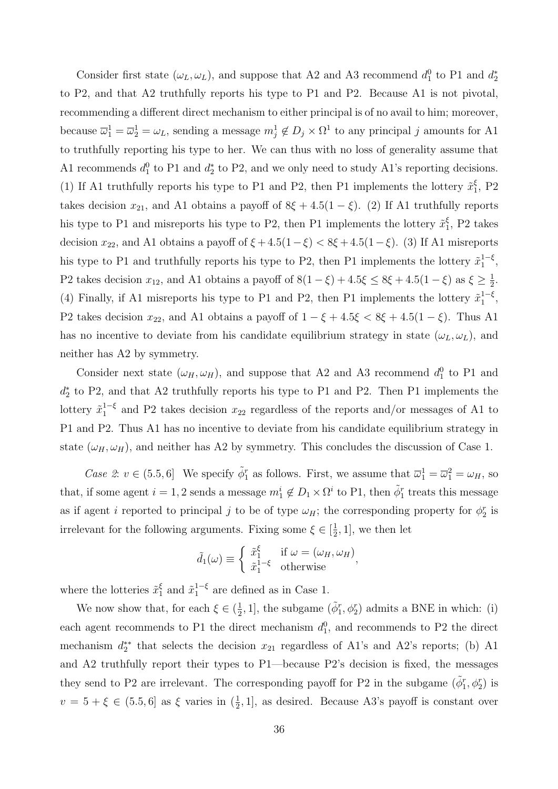Consider first state  $(\omega_L, \omega_L)$ , and suppose that A2 and A3 recommend  $d_1^0$  to P1 and  $d_2^*$ to P2, and that A2 truthfully reports his type to P1 and P2. Because A1 is not pivotal, recommending a different direct mechanism to either principal is of no avail to him; moreover, because  $\overline{\omega}_1^1 = \overline{\omega}_2^1 = \omega_L$ , sending a message  $m_j^1 \notin D_j \times \Omega^1$  to any principal j amounts for A1 to truthfully reporting his type to her. We can thus with no loss of generality assume that A1 recommends  $d_1^0$  to P1 and  $d_2^*$  to P2, and we only need to study A1's reporting decisions. (1) If A1 truthfully reports his type to P1 and P2, then P1 implements the lottery  $\tilde{x}_1^{\xi}$  $\frac{5}{1}$ , P<sub>2</sub> takes decision  $x_{21}$ , and A1 obtains a payoff of  $8\xi + 4.5(1 - \xi)$ . (2) If A1 truthfully reports his type to P1 and misreports his type to P2, then P1 implements the lottery  $\tilde{x}_1^{\xi}$  $\frac{5}{1}$ , P2 takes decision  $x_{22}$ , and A1 obtains a payoff of  $\xi + 4.5(1-\xi) < 8\xi + 4.5(1-\xi)$ . (3) If A1 misreports his type to P1 and truthfully reports his type to P2, then P1 implements the lottery  $\tilde{x}_1^{1-\xi}$  $\frac{1-\xi}{1},$ P2 takes decision  $x_{12}$ , and A1 obtains a payoff of  $8(1-\xi) + 4.5\xi \le 8\xi + 4.5(1-\xi)$  as  $\xi \ge \frac{1}{2}$  $\frac{1}{2}$ . (4) Finally, if A1 misreports his type to P1 and P2, then P1 implements the lottery  $\tilde{x}_1^{1-\xi}$  $\frac{1-\xi}{1},$ P2 takes decision  $x_{22}$ , and A1 obtains a payoff of  $1 - \xi + 4.5\xi < 8\xi + 4.5(1 - \xi)$ . Thus A1 has no incentive to deviate from his candidate equilibrium strategy in state  $(\omega_L, \omega_L)$ , and neither has A2 by symmetry.

Consider next state  $(\omega_H, \omega_H)$ , and suppose that A2 and A3 recommend  $d_1^0$  to P1 and  $d_2^*$  to P2, and that A2 truthfully reports his type to P1 and P2. Then P1 implements the lottery  $\tilde{x}_1^{1-\xi}$  $_1^{\text{1--}x}$  and P2 takes decision  $x_{22}$  regardless of the reports and/or messages of A1 to P1 and P2. Thus A1 has no incentive to deviate from his candidate equilibrium strategy in state  $(\omega_H, \omega_H)$ , and neither has A2 by symmetry. This concludes the discussion of Case 1.

Case 2:  $v \in (5.5, 6]$  We specify  $\tilde{\phi}_1^r$  as follows. First, we assume that  $\overline{\omega}_1^1 = \overline{\omega}_1^2 = \omega_H$ , so that, if some agent  $i = 1, 2$  sends a message  $m_1^i \notin D_1 \times \Omega^i$  to P1, then  $\tilde{\phi}_1^r$  treats this message as if agent *i* reported to principal *j* to be of type  $\omega_H$ ; the corresponding property for  $\phi_2^r$  is irrelevant for the following arguments. Fixing some  $\xi \in \left[\frac{1}{2}\right]$  $\frac{1}{2}$ , 1], we then let

$$
\tilde{d}_1(\omega) \equiv \begin{cases} \tilde{x}_1^{\xi} & \text{if } \omega = (\omega_H, \omega_H), \\ \tilde{x}_1^{1-\xi} & \text{otherwise} \end{cases}
$$

where the lotteries  $\tilde{x}_1^{\xi}$  $\frac{\xi}{1}$  and  $\tilde{x}_1^{1-\xi}$  $_1^{1-\xi}$  are defined as in Case 1.

We now show that, for each  $\xi \in (\frac{1}{2})$  $\frac{1}{2}$ , 1], the subgame  $(\tilde{\phi}_1^r, \phi_2^r)$  admits a BNE in which: (i) each agent recommends to P1 the direct mechanism  $d_1^0$ , and recommends to P2 the direct mechanism  $d_2^{**}$  that selects the decision  $x_{21}$  regardless of A1's and A2's reports; (b) A1 and A2 truthfully report their types to P1—because P2's decision is fixed, the messages they send to P2 are irrelevant. The corresponding payoff for P2 in the subgame  $(\tilde{\phi}_1^r, \phi_2^r)$  is  $v = 5 + \xi \in (5.5, 6]$  as  $\xi$  varies in  $(\frac{1}{2}, 1]$ , as desired. Because A3's payoff is constant over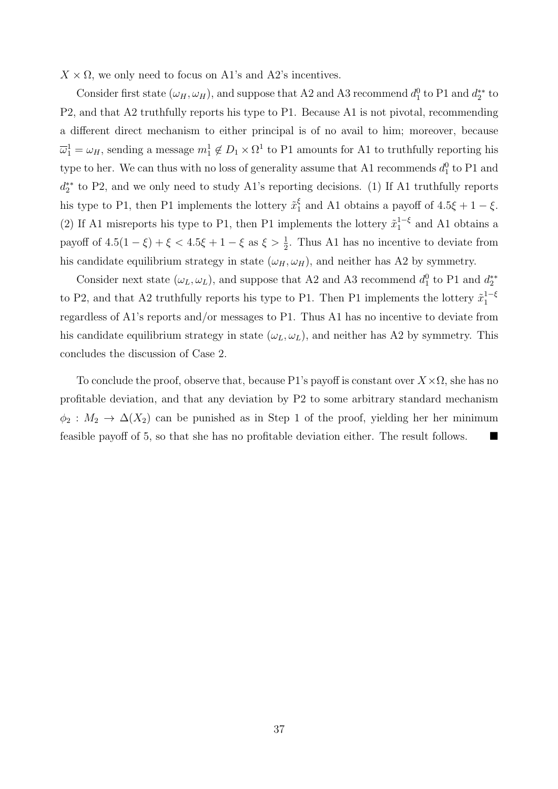$X \times \Omega$ , we only need to focus on A1's and A2's incentives.

Consider first state  $(\omega_H, \omega_H)$ , and suppose that A2 and A3 recommend  $d_1^0$  to P1 and  $d_2^{**}$  to P2, and that A2 truthfully reports his type to P1. Because A1 is not pivotal, recommending a different direct mechanism to either principal is of no avail to him; moreover, because  $\overline{\omega}_1^1 = \omega_H$ , sending a message  $m_1^1 \notin D_1 \times \Omega^1$  to P1 amounts for A1 to truthfully reporting his type to her. We can thus with no loss of generality assume that A1 recommends  $d_1^0$  to P1 and  $d_2^{**}$  to P2, and we only need to study A1's reporting decisions. (1) If A1 truthfully reports his type to P1, then P1 implements the lottery  $\tilde{x}_1^{\xi}$  $\frac{1}{1}$  and A1 obtains a payoff of  $4.5\xi + 1 - \xi$ . (2) If A1 misreports his type to P1, then P1 implements the lottery  $\tilde{x}_1^{1-\xi}$  $_1^{1-\xi}$  and A1 obtains a payoff of  $4.5(1-\xi) + \xi < 4.5\xi + 1 - \xi$  as  $\xi > \frac{1}{2}$ . Thus A1 has no incentive to deviate from his candidate equilibrium strategy in state  $(\omega_H, \omega_H)$ , and neither has A2 by symmetry.

Consider next state  $(\omega_L, \omega_L)$ , and suppose that A2 and A3 recommend  $d_1^0$  to P1 and  $d_2^{**}$ to P2, and that A2 truthfully reports his type to P1. Then P1 implements the lottery  $\tilde{x}_1^{1-\xi}$ 1 regardless of A1's reports and/or messages to P1. Thus A1 has no incentive to deviate from his candidate equilibrium strategy in state  $(\omega_L, \omega_L)$ , and neither has A2 by symmetry. This concludes the discussion of Case 2.

To conclude the proof, observe that, because P1's payoff is constant over  $X \times \Omega$ , she has no profitable deviation, and that any deviation by P2 to some arbitrary standard mechanism  $\phi_2 : M_2 \to \Delta(X_2)$  can be punished as in Step 1 of the proof, yielding her her minimum feasible payoff of 5, so that she has no profitable deviation either. The result follows.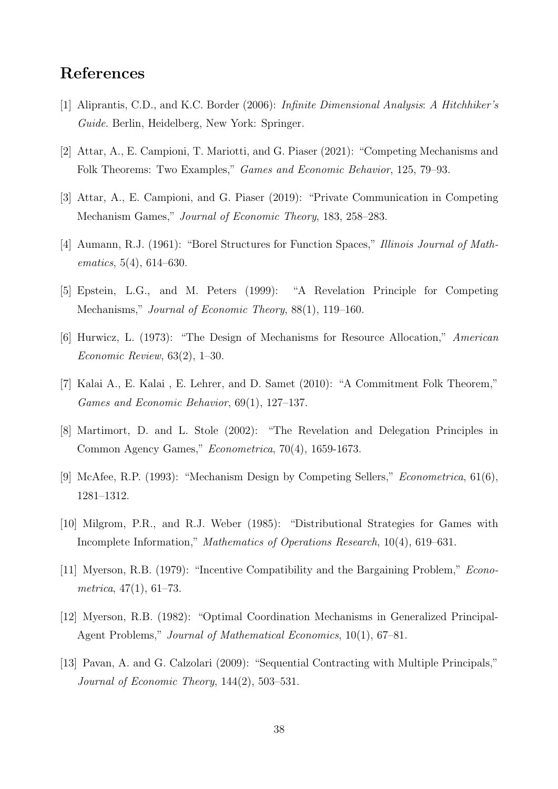# References

- [1] Aliprantis, C.D., and K.C. Border (2006): Infinite Dimensional Analysis: A Hitchhiker's Guide. Berlin, Heidelberg, New York: Springer.
- [2] Attar, A., E. Campioni, T. Mariotti, and G. Piaser (2021): "Competing Mechanisms and Folk Theorems: Two Examples," Games and Economic Behavior, 125, 79–93.
- [3] Attar, A., E. Campioni, and G. Piaser (2019): "Private Communication in Competing Mechanism Games," Journal of Economic Theory, 183, 258–283.
- [4] Aumann, R.J. (1961): "Borel Structures for Function Spaces," Illinois Journal of Mathematics, 5(4), 614–630.
- [5] Epstein, L.G., and M. Peters (1999): "A Revelation Principle for Competing Mechanisms," Journal of Economic Theory, 88(1), 119–160.
- [6] Hurwicz, L. (1973): "The Design of Mechanisms for Resource Allocation," American Economic Review, 63(2), 1–30.
- [7] Kalai A., E. Kalai , E. Lehrer, and D. Samet (2010): "A Commitment Folk Theorem," Games and Economic Behavior, 69(1), 127–137.
- [8] Martimort, D. and L. Stole (2002): "The Revelation and Delegation Principles in Common Agency Games," Econometrica, 70(4), 1659-1673.
- [9] McAfee, R.P. (1993): "Mechanism Design by Competing Sellers," Econometrica, 61(6), 1281–1312.
- [10] Milgrom, P.R., and R.J. Weber (1985): "Distributional Strategies for Games with Incomplete Information," Mathematics of Operations Research, 10(4), 619–631.
- [11] Myerson, R.B. (1979): "Incentive Compatibility and the Bargaining Problem," Econometrica, 47(1), 61–73.
- [12] Myerson, R.B. (1982): "Optimal Coordination Mechanisms in Generalized Principal-Agent Problems," Journal of Mathematical Economics, 10(1), 67–81.
- [13] Pavan, A. and G. Calzolari (2009): "Sequential Contracting with Multiple Principals," Journal of Economic Theory, 144(2), 503–531.